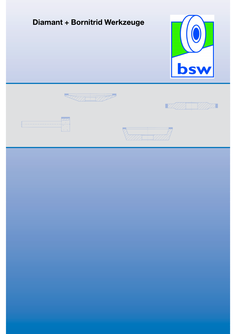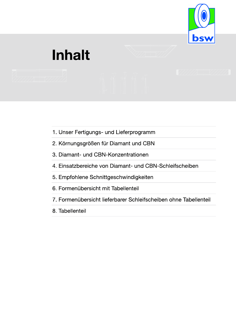

# **Inhalt**

- 1. Unser Fertigungs- und Lieferprogramm
- 2. Körnungsgrößen für Diamant und CBN
- 3. Diamant- und CBN-Konzentrationen
- 4. Einsatzbereiche von Diamant- und CBN-Schleifscheiben
- 5. Empfohlene Schnittgeschwindigkeiten
- 6. Formenübersicht mit Tabellenteil
- 7. Formenübersicht lieferbarer Schleifscheiben ohne Tabellenteil
- 8. Tabellenteil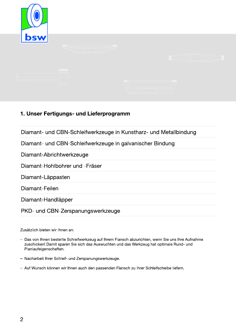

#### 1. Unser Fertigungs- und Lieferprogramm

Diamant- und CBN-Schleifwerkzeuge in Kunstharz- und Metallbindung

Diamant- und CBN-Schleifwerkzeuge in galvanischer Bindung

Diamant-Abrichtwerkzeuge

Diamant-Hohlbohrer und -Fräser

Diamant-Läppasten

Diamant-Feilen

Diamant-Handläpper

PKD- und CBN-Zerspanungswerkzeuge

Zusätzlich bieten wir Ihnen an:

- Das von Ihnen bestellte Schleifwerkzeug auf Ihrem Flansch abzurichten, wenn Sie uns Ihre Aufnahme zuschicken! Damit sparen Sie sich das Auswuchten und das Werkzeug hat optimale Rund- und Planlaufeigenschaften.
- Nacharbeit Ihrer Schleif- und Zerspanungswerkzeuge.
- Auf Wunsch können wir Ihnen auch den passenden Flansch zu Ihrer Schleifscheibe liefern.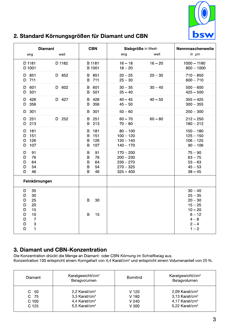

#### 2. Standard Körnungsgrößen für Diamant und CBN

| <b>Diamant</b>                                                                                                       |           | <b>CBN</b>                                                | Siebgröße in Mesh                                                       |           | Nennmaschenweite                                                                                           |
|----------------------------------------------------------------------------------------------------------------------|-----------|-----------------------------------------------------------|-------------------------------------------------------------------------|-----------|------------------------------------------------------------------------------------------------------------|
| eng                                                                                                                  | weit      |                                                           | eng                                                                     | weit      | in $µm$                                                                                                    |
| D 1181<br>D 1001                                                                                                     | D 1182    | B 1181<br>B 1001                                          | $16 - 18$<br>$18 - 20$                                                  | $16 - 20$ | $1000 - 1180$<br>$850 - 1000$                                                                              |
| D 851<br>D 711                                                                                                       | D 852     | 851<br>B<br>711<br>B                                      | $20 - 25$<br>$25 - 30$                                                  | $20 - 30$ | $710 - 850$<br>$600 - 710$                                                                                 |
| D<br>601<br>501<br>D                                                                                                 | D 602     | 601<br>B<br>501<br>B                                      | $30 - 35$<br>$35 - 40$                                                  | $30 - 40$ | $500 - 600$<br>$425 - 500$                                                                                 |
| 426<br>D<br>356<br>D                                                                                                 | D 427     | 426<br>B<br>356<br>B                                      | $40 - 45$<br>$45 - 50$                                                  | $40 - 50$ | $355 - 425$<br>$300 - 355$                                                                                 |
| D 301                                                                                                                |           | 301<br>B                                                  | $50 - 60$                                                               |           | $250 - 300$                                                                                                |
| 251<br>D<br>D 213                                                                                                    | 252<br>D. | 251<br>B<br>213<br>B                                      | $60 - 70$<br>$70 - 80$                                                  | $60 - 80$ | $212 - 250$<br>$180 - 212$                                                                                 |
| 181<br>D<br>151<br>D<br>126<br>D<br>107<br>D                                                                         |           | 181<br>B<br>$\mathsf B$<br>151<br>126<br>B<br>107<br>B    | $80 - 100$<br>$100 - 120$<br>$120 - 140$<br>$140 - 170$                 |           | $150 - 180$<br>$125 - 150$<br>$106 - 125$<br>$90 - 106$                                                    |
| 91<br>D<br>76<br>D<br>64<br>D<br>54<br>D<br>46<br>D                                                                  |           | 91<br>B<br>$\sf B$<br>76<br>B<br>64<br>B<br>54<br>B<br>46 | $170 - 200$<br>$200 - 230$<br>$230 - 270$<br>$270 - 325$<br>$325 - 400$ |           | $75 - 90$<br>$63 - 75$<br>$53 - 63$<br>$45 - 53$<br>$38 - 45$                                              |
| Feinkörnungen                                                                                                        |           |                                                           |                                                                         |           |                                                                                                            |
| 35<br>D<br>30<br>D<br>25<br>D<br>20<br>D<br>15<br>D<br>10<br>D<br>$\overline{7}$<br>D<br>3<br>D<br>$\mathbf{1}$<br>D |           | B<br>30<br>B<br>15                                        |                                                                         |           | $30 - 40$<br>$25 - 35$<br>$20 - 30$<br>$15 - 25$<br>$10 - 20$<br>$6 - 12$<br>$4 - 8$<br>$2 - 4$<br>$1 - 2$ |

#### 3. Diamant und CBN-Konzentration

Die Konzentration drückt die Menge an Diamant- oder CBN-Körnung im Schleifbelag aus.

Konzentration 100 entspricht einem Korngehalt von 4,4 Karat/cm<sup>3</sup> und entspricht einem Volumenanteil von 25 %.

| Diamant                                         | Karatgewicht/cm <sup>3</sup><br>Belagvolumen                                                                     | <b>Bornitrid</b>                             | Karatgewicht/cm <sup>3</sup><br>Belagvolumen                                                                           |
|-------------------------------------------------|------------------------------------------------------------------------------------------------------------------|----------------------------------------------|------------------------------------------------------------------------------------------------------------------------|
| -50<br>C .<br>C 75<br>C 100<br>C <sub>125</sub> | 2,2 Karat/cm <sup>3</sup><br>3,3 Karat/cm <sup>3</sup><br>4,4 Karat/cm <sup>3</sup><br>5,5 Karat/cm <sup>3</sup> | $V$ 120<br>V 180<br>V <sub>240</sub><br>V300 | $2,09$ Karat/cm <sup>3</sup><br>3,13 Karat/cm <sup>3</sup><br>4,17 Karat/cm <sup>3</sup><br>5,22 Karat/cm <sup>3</sup> |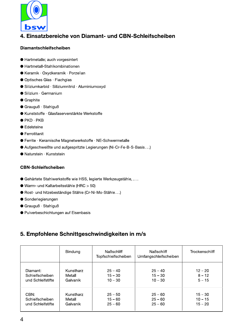

#### 4. Einsatzbereiche von Diamant- und CBN-Schleifscheiben

#### **Diamantschleifscheiben**

- Hartmetalle; auch vorgesintert
- Hartmetall-Stahlkombinationen
- Keramik · Oxydkeramik · Porzellan
- Optisches Glas · Flachglas
- Siliziumkarbid · Siliziumnitrid · Aluminiumoxyd
- Silizium · Germanium
- **•** Graphite
- $\bullet$  Grauguß  $\cdot$  Stahlguß
- Kunststoffe · Glasfaserverstärkte Werkstoffe
- $\bullet$  PKD  $\cdot$  PKB
- **Edelsteine**
- Ferrotitanit
- Ferrite · Keramische Magnetwerkstoffe · NE-Schwermetalle
- Aufgeschweißte und aufgespritzte Legierungen (Ni-Cr-Fe-B-S-Basis...)
- Naturstein · Kunststein

#### **CBN-Schleifscheiben**

- · Gehärtete Stahlwerkstoffe wie HSS, legierte Werkzeugstähle, ...
- Warm- und Kaltarbeitsstähle (HRC > 50)
- Rost- und hitzebeständige Stähle (Cr-Ni-Mo-Stähle...)
- Sonderlegierungen
- $\bullet$  Grauguß  $\cdot$  Stahlguß
- **Pulverbeschichtungen auf Eisenbasis**

#### 5. Empfohlene Schnittgeschwindigkeiten in m/s

|                   | <b>Bindung</b> | <b>Naßschliff</b><br>Topfschleifscheiben | <b>Naßschliff</b><br>Umfangschleifscheiben | Trockenschliff |
|-------------------|----------------|------------------------------------------|--------------------------------------------|----------------|
| Diamant:          | Kunstharz      | $25 - 40$                                | $25 - 40$                                  | $12 - 20$      |
| Schleifscheiben   | Metall         | $15 - 30$                                | $15 - 30$                                  | $8 - 12$       |
| und Schleifstifte | Galvanik       | $10 - 30$                                | $10 - 30$                                  | $5 - 15$       |
| CBN:              | Kunstharz      | $25 - 50$                                | $25 - 60$                                  | $15 - 30$      |
| Schleifscheiben   | Metall         | $15 - 60$                                | $25 - 60$                                  | $10 - 15$      |
| und Schleifstifte | Galvanik       | $25 - 60$                                | $25 - 60$                                  | $15 - 20$      |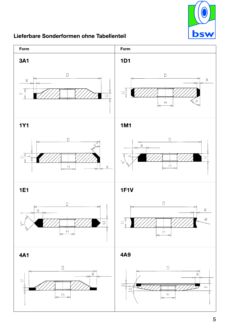

#### Lieferbare Sonderformen ohne Tabellenteil

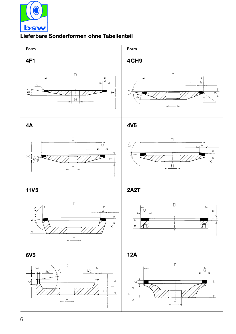

#### Lieferbare Sonderformen ohne Tabellenteil

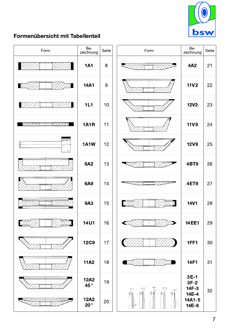

#### Formenübersicht mit Tabellenteil

| Form                                                                            | Be-<br>zeichnung            | Seite | Form                         | Be-<br>zeichnung          | Seite  |
|---------------------------------------------------------------------------------|-----------------------------|-------|------------------------------|---------------------------|--------|
|                                                                                 | <b>1A1</b>                  | 8     | $\overline{\phantom{a}}$     | 4A2                       | 21     |
|                                                                                 | <b>14A1</b>                 | $9\,$ |                              | <b>11V2</b>               | 22     |
| $\mathbb{Z}/\mathbb{Z}$                                                         | 1L1                         | 10    |                              | <b>12V2</b>               | 23     |
| VIII<br>7777                                                                    | <b>1A1R</b>                 | 11    |                              | <b>11V9</b>               | 24     |
| $\overline{\mathcal{A}^{(1)}_{\mathcal{A}}(z)}$<br>$\frac{1}{2} \sigma_{\rm e}$ | <b>1A1W</b>                 | 12    |                              | <b>12V9</b>               | 25     |
|                                                                                 | <b>6A2</b>                  | 13    |                              | 4BT9                      | 26     |
|                                                                                 | <b>6A9</b>                  | 14    |                              | 4ET9                      | 27     |
|                                                                                 | <b>9A3</b>                  | 15    |                              | <b>14V1</b>               | 28     |
|                                                                                 | <b>14U1</b>                 | 16    | $\boldsymbol{\mathcal{C}}$ , | <b>14 EE1</b>             | 29     |
|                                                                                 | <b>12C9</b>                 | 17    |                              | 1FF1                      | $30\,$ |
|                                                                                 | <b>11A2</b>                 | 18    |                              | <b>14F1</b>               | 31     |
|                                                                                 | <b>12A2</b><br>45°          | 19    |                              | $3E-1$<br>$3F-2$<br>14F-3 | 32     |
|                                                                                 | <b>12A2</b><br>$20^{\circ}$ | 20    | Ø                            | 14E-4<br>14A1-5<br>14E-6  |        |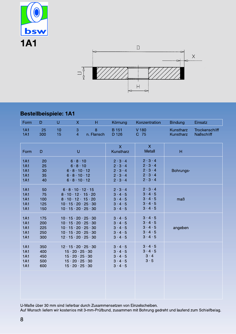



#### **Bestellbeispiele: 1A1**

| Form                                                               | D                               | U        | $\mathsf{X}$                                                                                                                                                                                                             | H               | Körnung                                                                                                         | Konzentration                                                                                                   | <b>Bindung</b>         | Einsatz                             |
|--------------------------------------------------------------------|---------------------------------|----------|--------------------------------------------------------------------------------------------------------------------------------------------------------------------------------------------------------------------------|-----------------|-----------------------------------------------------------------------------------------------------------------|-----------------------------------------------------------------------------------------------------------------|------------------------|-------------------------------------|
| <b>1A1</b><br><b>1A1</b>                                           | 25<br>300                       | 10<br>15 | 3<br>$\overline{4}$                                                                                                                                                                                                      | 8<br>n. Flansch | <b>B</b> 151<br>D 126                                                                                           | V 180<br>C 75                                                                                                   | Kunstharz<br>Kunstharz | Trockenschliff<br><b>Naßschliff</b> |
| Form                                                               | $\mathsf{D}$                    |          | U                                                                                                                                                                                                                        |                 | $\mathsf{X}$<br>Kunstharz                                                                                       | $\mathsf{X}$<br><b>Metall</b>                                                                                   | H                      |                                     |
| <b>1A1</b><br><b>1A1</b><br><b>1A1</b><br><b>1A1</b><br><b>1A1</b> | 20<br>25<br>30<br>35<br>40      |          | 6.8.10<br>6.8.10<br>6.8.10.12<br>6.8.10.12<br>6.8.10.12                                                                                                                                                                  |                 | $2 \cdot 3 \cdot 4$<br>$2 \cdot 3 \cdot 4$<br>$2 \cdot 3 \cdot 4$<br>$2 \cdot 3 \cdot 4$<br>$2 \cdot 3 \cdot 4$ | $2 \cdot 3 \cdot 4$<br>$2 \cdot 3 \cdot 4$<br>$2 \cdot 3 \cdot 4$<br>$2 \cdot 3 \cdot 4$<br>$2 \cdot 3 \cdot 4$ | Bohrungs-              |                                     |
| <b>1A1</b><br><b>1A1</b><br><b>1A1</b><br><b>1A1</b><br><b>1A1</b> | 50<br>75<br>100<br>125<br>150   |          | 6.8.10.12.15<br>$8 \cdot 10 \cdot 12 \cdot 15 \cdot 20$<br>$8 \cdot 10 \cdot 12 \cdot 15 \cdot 20$<br>$10 \cdot 15 \cdot 20 \cdot 25 \cdot 30$<br>$10 \cdot 15 \cdot 20 \cdot 25 \cdot 30$                               |                 | $2 \cdot 3 \cdot 4$<br>$3 \cdot 4 \cdot 5$<br>$3 \cdot 4 \cdot 5$<br>$3 \cdot 4 \cdot 5$<br>$3 \cdot 4 \cdot 5$ | $2 \cdot 3 \cdot 4$<br>$3 \cdot 4 \cdot 5$<br>$3 \cdot 4 \cdot 5$<br>$3 \cdot 4 \cdot 5$<br>$3 \cdot 4 \cdot 5$ | maß                    |                                     |
| <b>1A1</b><br><b>1A1</b><br><b>1A1</b><br><b>1A1</b><br><b>1A1</b> | 175<br>200<br>225<br>250<br>300 |          | $10 \cdot 15 \cdot 20 \cdot 25 \cdot 30$<br>$10 \cdot 15 \cdot 20 \cdot 25 \cdot 30$<br>$10 \cdot 15 \cdot 20 \cdot 25 \cdot 30$<br>$10 \cdot 15 \cdot 20 \cdot 25 \cdot 30$<br>$12 \cdot 15 \cdot 20 \cdot 25 \cdot 30$ |                 | $3 \cdot 4 \cdot 5$<br>$3 \cdot 4 \cdot 5$<br>$3 \cdot 4 \cdot 5$<br>$3 \cdot 4 \cdot 5$<br>$3 \cdot 4 \cdot 5$ | $3 \cdot 4 \cdot 5$<br>$3 \cdot 4 \cdot 5$<br>$3 \cdot 4 \cdot 5$<br>$3 \cdot 4 \cdot 5$<br>$3 \cdot 4 \cdot 5$ | angeben                |                                     |
| <b>1A1</b><br><b>1A1</b><br><b>1A1</b><br><b>1A1</b><br><b>1A1</b> | 350<br>400<br>450<br>500<br>600 |          | $12 \cdot 15 \cdot 20 \cdot 25 \cdot 30$<br>$15 \cdot 20 \cdot 25 \cdot 30$<br>$15 \cdot 20 \cdot 25 \cdot 30$<br>$15 \cdot 20 \cdot 25 \cdot 30$<br>$15 \cdot 20 \cdot 25 \cdot 30$                                     |                 | $3 \cdot 4 \cdot 5$<br>$3 \cdot 4 \cdot 5$<br>$3 \cdot 4 \cdot 5$<br>$3 \cdot 4 \cdot 5$<br>$3 \cdot 4 \cdot 5$ | $3 \cdot 4 \cdot 5$<br>$3 \cdot 4 \cdot 5$<br>$3 \cdot 4$<br>$3 \cdot 5$                                        |                        |                                     |

U-Maße über 30 mm sind lieferbar durch Zusammensetzen von Einzelscheiben.

Auf Wunsch liefern wir kostenlos mit 3-mm-Prüfbund, zusammen mit Bohrung gedreht und laufend zum Schleifbelag.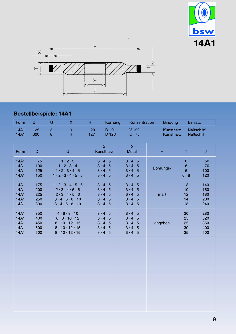



### Bestellbeispiele: 14A1

| Form                                 | $\mathsf D$                     | U                              | $\overline{\mathsf{X}}$                                                                                                                  | H         | Körnung                                                                                                         | Konzentration                                                                                                   | <b>Bindung</b>         | Einsatz                                                        |                                 |
|--------------------------------------|---------------------------------|--------------------------------|------------------------------------------------------------------------------------------------------------------------------------------|-----------|-----------------------------------------------------------------------------------------------------------------|-----------------------------------------------------------------------------------------------------------------|------------------------|----------------------------------------------------------------|---------------------------------|
| <b>14A1</b><br><b>14A1</b>           | 125<br>300                      | $\ensuremath{\mathsf{3}}$<br>8 | $\ensuremath{\mathsf{3}}$<br>$\overline{4}$                                                                                              | 20<br>127 | B 91<br>D 126                                                                                                   | $V$ 120<br>C 75                                                                                                 | Kunstharz<br>Kunstharz |                                                                | <b>Naßschliff</b><br>Naßschliff |
| Form                                 | $\mathsf D$                     |                                | $\cup$                                                                                                                                   |           | $\mathsf{X}$<br>Kunstharz                                                                                       | $\mathsf X$<br>Metall                                                                                           | $\mathsf H$            | $\mathsf T$                                                    | J                               |
| 14A1<br>14A1<br>14A1<br>14A1         | 75<br>100<br>125<br>150         |                                | $1 \cdot 2 \cdot 3$<br>$1 \cdot 2 \cdot 3 \cdot 4$<br>$1 \cdot 2 \cdot 3 \cdot 4 \cdot 5$<br>$1 \cdot 2 \cdot 3 \cdot 4 \cdot 5 \cdot 6$ |           | $3 \cdot 4 \cdot 5$<br>$3 \cdot 4 \cdot 5$<br>$3 \cdot 4 \cdot 5$<br>$3 \cdot 4 \cdot 5$                        | $3 \cdot 4 \cdot 5$<br>$3 \cdot 4 \cdot 5$<br>$3 \cdot 4 \cdot 5$<br>$3 \cdot 4 \cdot 5$                        | Bohrungs-              | $\,$ 6 $\,$<br>$\overline{6}$<br>$\overline{6}$<br>$6 \cdot 8$ | 50<br>70<br>100<br>120          |
| 14A1<br>14A1<br>14A1<br>14A1<br>14A1 | 175<br>200<br>225<br>250<br>300 |                                | $1 \cdot 2 \cdot 3 \cdot 4 \cdot 5 \cdot 6$<br>2.3.4.5.6<br>2.3.4.5.6<br>3.4.6.8.10<br>$3 \cdot 4 \cdot 6 \cdot 8 \cdot 10$              |           | $3 \cdot 4 \cdot 5$<br>$3 \cdot 4 \cdot 5$<br>$3 \cdot 4 \cdot 5$<br>$3 \cdot 4 \cdot 5$<br>$3 \cdot 4 \cdot 5$ | $3 \cdot 4 \cdot 5$<br>$3 \cdot 4 \cdot 5$<br>$3 \cdot 4 \cdot 5$<br>$3 \cdot 4 \cdot 5$<br>$3 \cdot 4 \cdot 5$ | maß                    | 8<br>10<br>12<br>14<br>18                                      | 140<br>160<br>180<br>200<br>240 |
| 14A1<br>14A1<br>14A1<br>14A1<br>14A1 | 350<br>400<br>450<br>500<br>600 |                                | 4.6.8.10<br>6.8.10.12<br>$8 \cdot 10 \cdot 12 \cdot 15$<br>$8 \cdot 10 \cdot 12 \cdot 15$<br>$8 \cdot 10 \cdot 12 \cdot 15$              |           | $3 \cdot 4 \cdot 5$<br>$3 \cdot 4 \cdot 5$<br>$3 \cdot 4 \cdot 5$<br>$3 \cdot 4 \cdot 5$<br>$3 \cdot 4 \cdot 5$ | $3 \cdot 4 \cdot 5$<br>$3 \cdot 4 \cdot 5$<br>$3 \cdot 4 \cdot 5$<br>$3 \cdot 4 \cdot 5$<br>$3 \cdot 4 \cdot 5$ | angeben                | 20<br>25<br>25<br>30<br>35                                     | 280<br>320<br>360<br>400<br>500 |
|                                      |                                 |                                |                                                                                                                                          |           |                                                                                                                 |                                                                                                                 |                        |                                                                |                                 |
|                                      |                                 |                                |                                                                                                                                          |           |                                                                                                                 |                                                                                                                 |                        |                                                                |                                 |
|                                      |                                 |                                |                                                                                                                                          |           |                                                                                                                 |                                                                                                                 |                        |                                                                |                                 |
|                                      |                                 |                                |                                                                                                                                          |           |                                                                                                                 |                                                                                                                 |                        |                                                                |                                 |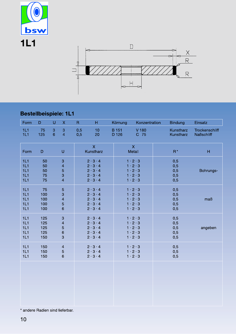



### **Bestellbeispiele: 1L1**

| Form                            | D                               | $\cup$              | $\mathsf X$                                                         | $\mathsf R$ | н                                                                                                               | Körnung               | Konzentration                                                                                                   | <b>Bindung</b>                  | Einsatz                                    |
|---------------------------------|---------------------------------|---------------------|---------------------------------------------------------------------|-------------|-----------------------------------------------------------------------------------------------------------------|-----------------------|-----------------------------------------------------------------------------------------------------------------|---------------------------------|--------------------------------------------|
| 1L1<br>1L1                      | 75<br>125                       | 3<br>$6\phantom{1}$ | $\ensuremath{\mathsf{3}}$<br>$\overline{4}$                         | 0,5<br>0,5  | 10<br>20                                                                                                        | <b>B</b> 151<br>D 126 | V 180<br>C 75                                                                                                   | Kunstharz<br>Kunstharz          | <b>Trockenschliff</b><br><b>Naßschliff</b> |
| Form                            | $\mathsf D$                     |                     | U                                                                   |             | $\overline{\mathsf{X}}$<br>Kunstharz                                                                            |                       | $\mathsf X$<br>Metall                                                                                           | $R^*$                           | H                                          |
| 1L1<br>1L1<br>1L1<br>1L1<br>1L1 | 50<br>50<br>50<br>75<br>75      |                     | 3<br>$\overline{\mathcal{L}}$<br>5<br>3<br>$\overline{\mathcal{L}}$ |             | $2 \cdot 3 \cdot 4$<br>$2 \cdot 3 \cdot 4$<br>$2 \cdot 3 \cdot 4$<br>$2 \cdot 3 \cdot 4$<br>$2 \cdot 3 \cdot 4$ |                       | $1 \cdot 2 \cdot 3$<br>$1 \cdot 2 \cdot 3$<br>$1 \cdot 2 \cdot 3$<br>$1 \cdot 2 \cdot 3$<br>$1 \cdot 2 \cdot 3$ | 0,5<br>0,5<br>0,5<br>0,5<br>0,5 | Bohrungs-                                  |
| 1L1<br>1L1<br>1L1<br>1L1<br>1L1 | 75<br>100<br>100<br>100<br>100  |                     | 5<br>3<br>4<br>5<br>6                                               |             | $2 \cdot 3 \cdot 4$<br>$2 \cdot 3 \cdot 4$<br>$2 \cdot 3 \cdot 4$<br>$2 \cdot 3 \cdot 4$<br>$2 \cdot 3 \cdot 4$ |                       | $1 \cdot 2 \cdot 3$<br>$1 \cdot 2 \cdot 3$<br>$1 \cdot 2 \cdot 3$<br>$1 \cdot 2 \cdot 3$<br>$1 \cdot 2 \cdot 3$ | 0,5<br>0,5<br>0,5<br>0,5<br>0,5 | maB                                        |
| 1L1<br>1L1<br>1L1<br>1L1<br>1L1 | 125<br>125<br>125<br>125<br>150 |                     | 3<br>4<br>5<br>6<br>3                                               |             | $2 \cdot 3 \cdot 4$<br>$2 \cdot 3 \cdot 4$<br>$2 \cdot 3 \cdot 4$<br>$2 \cdot 3 \cdot 4$<br>$2 \cdot 3 \cdot 4$ |                       | $1 \cdot 2 \cdot 3$<br>$1 \cdot 2 \cdot 3$<br>$1 \cdot 2 \cdot 3$<br>$1 \cdot 2 \cdot 3$<br>$1 \cdot 2 \cdot 3$ | 0,5<br>0,5<br>0,5<br>0,5<br>0,5 | angeben                                    |
| 1L1<br>1L1<br>1L1               | 150<br>150<br>150               |                     | $\overline{\mathcal{L}}$<br>5<br>6                                  |             | $2 \cdot 3 \cdot 4$<br>$2 \cdot 3 \cdot 4$<br>$2 \cdot 3 \cdot 4$                                               |                       | $1 \cdot 2 \cdot 3$<br>$1 \cdot 2 \cdot 3$<br>$1 \cdot 2 \cdot 3$                                               | 0,5<br>0,5<br>0,5               |                                            |
|                                 |                                 |                     |                                                                     |             |                                                                                                                 |                       |                                                                                                                 |                                 |                                            |

\* andere Radien sind lieferbar.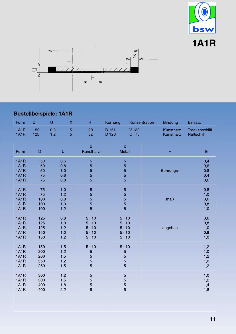



# Bestellbeispiele: 1A1R

| Form                                                             | $\mathsf D$                     | $\cup$     | $\mathsf X$                      | H                                                                            | Körnung               | Konzentration                                                                | <b>Bindung</b>         | Einsatz                                 |
|------------------------------------------------------------------|---------------------------------|------------|----------------------------------|------------------------------------------------------------------------------|-----------------------|------------------------------------------------------------------------------|------------------------|-----------------------------------------|
| 1A1R<br>1A1R                                                     | 50<br>125                       | 0,8<br>1,2 | $\overline{5}$<br>$\overline{5}$ | 20<br>32                                                                     | <b>B</b> 151<br>D 126 | V 180<br>C 75                                                                | Kunstharz<br>Kunstharz | Trockenschliff<br><b>Naßschliff</b>     |
| Form                                                             | D                               |            | $\cup$                           | $\overline{\mathsf{X}}$<br>Kunstharz                                         |                       | $\overline{\mathsf{X}}$<br><b>Metall</b>                                     | H                      | E                                       |
| <b>1A1R</b><br><b>1A1R</b><br>1A1R<br>1A1R<br><b>1A1R</b>        | 50<br>50<br>50<br>75<br>75      |            | 0,6<br>0,8<br>1,0<br>0,6<br>0,8  | 5<br>5<br>5<br>5<br>5                                                        |                       | $\overline{5}$<br>5<br>5<br>$\overline{5}$<br>$\overline{5}$                 | Bohrungs-              | 0,4<br>0,6<br>0,8<br>0,4<br>0,6         |
| 1A1R<br>1A1R<br>1A1R<br>1A1R<br>1A1R                             | 75<br>75<br>100<br>100<br>100   |            | 1,0<br>1,2<br>0,8<br>1,0<br>1,2  | 5<br>5<br>5<br>5<br>$\overline{5}$                                           |                       | $\overline{5}$<br>5<br>5<br>5<br>$\overline{5}$                              | maß                    | 0,8<br>1,0<br>$0,6$<br>$0,8$<br>$1,0$   |
| <b>1A1R</b><br>1A1R<br>1A1R<br><b>1A1R</b><br><b>1A1R</b>        | 125<br>125<br>125<br>150<br>150 |            | 0,8<br>1,0<br>1,2<br>1,0<br>1,2  | $5 \cdot 10$<br>$5 \cdot 10$<br>$5 \cdot 10$<br>$5 \cdot 10$<br>$5 \cdot 10$ |                       | $5 \cdot 10$<br>$5 \cdot 10$<br>$5 \cdot 10$<br>$5 \cdot 10$<br>$5 \cdot 10$ | angeben                | 0,6<br>0,8<br>1,0<br>0,8<br>1,0         |
| <b>1A1R</b><br><b>1A1R</b><br>1A1R<br><b>1A1R</b><br><b>1A1R</b> | 150<br>200<br>200<br>250<br>250 |            | 1,5<br>1,2<br>1,5<br>1,2<br>1,5  | $5 \cdot 10$<br>5<br>5<br>5<br>5                                             |                       | $5 \cdot 10$<br>$\overline{5}$<br>5<br>5<br>5                                |                        | 1,2<br>$1,0$<br>$1,2$<br>$1,0$<br>$1,2$ |
| 1A1R<br>1A1R<br>1A1R<br><b>1A1R</b>                              | 300<br>300<br>400<br>400        |            | 1,2<br>1,5<br>1,8<br>2,2         | 5<br>5<br>5<br>5                                                             |                       | $\overline{5}$<br>5<br>$\overline{5}$<br>5                                   |                        | 1,0<br>$1,2$<br>$1,4$<br>$1,8$          |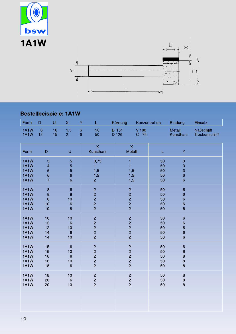



# Bestellbeispiele: 1A1W

| Form                                                                    | D                                                                   | $\cup$   | $\mathsf{X}$                                      | Y                      | L.                                                                 | Körnung                                                            | Konzentration |                            | <b>Bindung</b>                                         | Einsatz                             |
|-------------------------------------------------------------------------|---------------------------------------------------------------------|----------|---------------------------------------------------|------------------------|--------------------------------------------------------------------|--------------------------------------------------------------------|---------------|----------------------------|--------------------------------------------------------|-------------------------------------|
| 1A1W<br>1A1W                                                            | $\,6\,$<br>12                                                       | 10<br>15 | 1,5<br>2 <sup>1</sup>                             | $\mathbf 6$<br>$\,6\,$ | 50<br>50                                                           | <b>B</b> 151<br>D 126                                              | V 180<br>C 75 |                            | Metall<br>Kunstharz                                    | <b>Naßschliff</b><br>Trockenschliff |
| Form                                                                    | $\mathsf D$                                                         |          | $\sf U$                                           |                        | $\overline{\mathsf{x}}$<br>Kunstharz                               | $\mathsf{X}$<br>Metall                                             |               | L                          | Ÿ                                                      |                                     |
| 1A1W<br><b>1A1W</b><br>1A1W<br><b>1A1W</b><br><b>1A1W</b>               | 3<br>$\overline{\mathcal{A}}$<br>5<br>$\mathbf 6$<br>$\overline{7}$ |          | 5<br>5<br>5<br>$\mathbf 6$<br>$6\phantom{a}$      |                        | 0,75<br>1<br>1,5<br>1,5<br>$\overline{2}$                          | $\mathbf{1}$<br>$\mathbf{1}$<br>1,5<br>1,5<br>1,5                  |               | 50<br>50<br>50<br>50<br>50 | 3<br>3<br>3<br>$6\phantom{1}$<br>$6\phantom{1}$        |                                     |
| <b>1A1W</b><br><b>1A1W</b><br><b>1A1W</b><br><b>1A1W</b><br><b>1A1W</b> | $\bf8$<br>8<br>8<br>10<br>10                                        |          | $\mathbf 6$<br>8<br>10<br>$\,$ 6 $\,$<br>$\bf{8}$ |                        | 2<br>2<br>2<br>2<br>2                                              | $\overline{c}$<br>$\begin{array}{c}\n 2 \\  2 \\  2\n \end{array}$ |               | 50<br>50<br>50<br>50<br>50 | $\mathbf 6$<br>6<br>6<br>6<br>6                        |                                     |
| <b>1A1W</b><br><b>1A1W</b><br><b>1A1W</b><br><b>1A1W</b><br><b>1A1W</b> | 10<br>12<br>12<br>14<br>14                                          |          | 10<br>$6\phantom{1}6$<br>10<br>$\,6\,$<br>10      |                        | 2<br>2<br>2<br>2<br>2                                              | 22222                                                              |               | 50<br>50<br>50<br>50<br>50 | $\mathbf 6$<br>$\mathbf 6$<br>6<br>6<br>$6\phantom{1}$ |                                     |
| <b>1A1W</b><br><b>1A1W</b><br><b>1A1W</b><br><b>1A1W</b><br><b>1A1W</b> | 15<br>15<br>16<br>16<br>18                                          |          | $\,6\,$<br>10<br>$6\phantom{1}6$<br>10<br>$\,6\,$ |                        | $\overline{c}$<br>$\begin{array}{c}\n 2 \\  2 \\  2\n \end{array}$ | $\overline{c}$<br>$\begin{array}{c}\n 2 \\  2 \\  2\n \end{array}$ |               | 50<br>50<br>50<br>50<br>50 | $\mathbf 6$<br>$\, 6$<br>$\bf{8}$<br>$\bf{8}$<br>8     |                                     |
| <b>1A1W</b><br>1A1W<br><b>1A1W</b>                                      | 18<br>20<br>20                                                      |          | 10<br>$\,6$<br>10                                 |                        | $\begin{array}{c}\n 2 \\  2 \\  2\n \end{array}$                   | $\overline{c}$<br>$\frac{2}{2}$                                    |               | 50<br>50<br>50             | $\bf 8$<br>$\bf 8$<br>$\bf{8}$                         |                                     |
|                                                                         |                                                                     |          |                                                   |                        |                                                                    |                                                                    |               |                            |                                                        |                                     |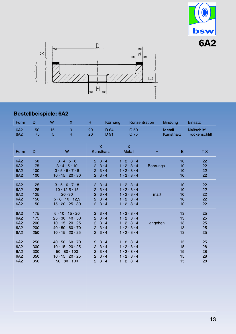



# Bestellbeispiele: 6A2

| Form                            | D                               | W       | $\boldsymbol{\mathsf{X}}$                                                                                                                              | H        | Körnung                                                                                                         |                                                                                                                                                         | Konzentration |               | <b>Bindung</b>             | Einsatz                             |
|---------------------------------|---------------------------------|---------|--------------------------------------------------------------------------------------------------------------------------------------------------------|----------|-----------------------------------------------------------------------------------------------------------------|---------------------------------------------------------------------------------------------------------------------------------------------------------|---------------|---------------|----------------------------|-------------------------------------|
| 6A2<br>6A2                      | 150<br>75                       | 15<br>5 | 3<br>$\overline{4}$                                                                                                                                    | 20<br>20 | D 64<br>D 91                                                                                                    | C 50<br>C 75                                                                                                                                            |               | <b>Metall</b> | Kunstharz                  | <b>Naßschliff</b><br>Trockenschliff |
| Form                            | D                               |         | W                                                                                                                                                      |          | $\overline{\mathsf{X}}$<br>Kunstharz                                                                            | $\mathsf{X}$<br>Metall                                                                                                                                  |               | H             | E                          | $T-X$                               |
| 6A2<br>6A2<br>6A2<br>6A2        | 50<br>75<br>100<br>100          |         | $3 \cdot 4 \cdot 5 \cdot 6$<br>$3 \cdot 4 \cdot 5 \cdot 10$<br>3.5.6.7.8<br>$10 \cdot 15 \cdot 20 \cdot 30$                                            |          | $2 \cdot 3 \cdot 4$<br>$2 \cdot 3 \cdot 4$<br>$2 \cdot 3 \cdot 4$<br>$2 \cdot 3 \cdot 4$                        | $1 \cdot 2 \cdot 3 \cdot 4$<br>$1 \cdot 2 \cdot 3 \cdot 4$<br>$1 \cdot 2 \cdot 3 \cdot 4$<br>$1 \cdot 2 \cdot 3 \cdot 4$                                |               | Bohrungs-     | 10<br>10<br>10<br>10       | 22<br>22<br>22<br>22                |
| 6A2<br>6A2<br>6A2<br>6A2<br>6A2 | 125<br>125<br>125<br>150<br>150 |         | 3.5.6.7.8<br>$10 \cdot 12,5 \cdot 15$<br>20.30<br>5.6.10.12,5<br>$15 \cdot 20 \cdot 25 \cdot 30$                                                       |          | $2 \cdot 3 \cdot 4$<br>$2 \cdot 3 \cdot 4$<br>$2 \cdot 3 \cdot 4$<br>$2 \cdot 3 \cdot 4$<br>$2 \cdot 3 \cdot 4$ | $1 \cdot 2 \cdot 3 \cdot 4$<br>$1 \cdot 2 \cdot 3 \cdot 4$<br>$1 \cdot 2 \cdot 3 \cdot 4$<br>$1 \cdot 2 \cdot 3 \cdot 4$<br>$1 \cdot 2 \cdot 3 \cdot 4$ |               | maB           | 10<br>10<br>10<br>10<br>10 | 22<br>22<br>22<br>22<br>22          |
| 6A2<br>6A2<br>6A2<br>6A2<br>6A2 | 175<br>175<br>200<br>200<br>250 |         | $6 \cdot 10 \cdot 15 \cdot 20$<br>$25 \cdot 30 \cdot 40 \cdot 50$<br>$10 \cdot 15 \cdot 20 \cdot 25$<br>40.50.60.70<br>$10 \cdot 15 \cdot 20 \cdot 25$ |          | $2 \cdot 3 \cdot 4$<br>$2 \cdot 3 \cdot 4$<br>$2 \cdot 3 \cdot 4$<br>$2 \cdot 3 \cdot 4$<br>$2 \cdot 3 \cdot 4$ | $1 \cdot 2 \cdot 3 \cdot 4$<br>$1 \cdot 2 \cdot 3 \cdot 4$<br>$1 \cdot 2 \cdot 3 \cdot 4$<br>$1 \cdot 2 \cdot 3 \cdot 4$<br>$1 \cdot 2 \cdot 3 \cdot 4$ |               | angeben       | 13<br>13<br>13<br>13<br>13 | 25<br>25<br>25<br>25<br>25          |
| 6A2<br>6A2<br>6A2<br>6A2<br>6A2 | 250<br>300<br>300<br>350<br>350 |         | 40.50.60.70<br>$10 \cdot 15 \cdot 20 \cdot 25$<br>$50 \cdot 80 \cdot 100$<br>$10 \cdot 15 \cdot 20 \cdot 25$<br>$50 \cdot 80 \cdot 100$                |          | $2 \cdot 3 \cdot 4$<br>$2 \cdot 3 \cdot 4$<br>$2 \cdot 3 \cdot 4$<br>$2 \cdot 3 \cdot 4$<br>$2 \cdot 3 \cdot 4$ | $1 \cdot 2 \cdot 3 \cdot 4$<br>$1 \cdot 2 \cdot 3 \cdot 4$<br>$1 \cdot 2 \cdot 3 \cdot 4$<br>$1 \cdot 2 \cdot 3 \cdot 4$<br>$1 \cdot 2 \cdot 3 \cdot 4$ |               |               | 15<br>15<br>15<br>15<br>15 | 25<br>28<br>28<br>28<br>28          |
|                                 |                                 |         |                                                                                                                                                        |          |                                                                                                                 |                                                                                                                                                         |               |               |                            |                                     |
|                                 |                                 |         |                                                                                                                                                        |          |                                                                                                                 |                                                                                                                                                         |               |               |                            |                                     |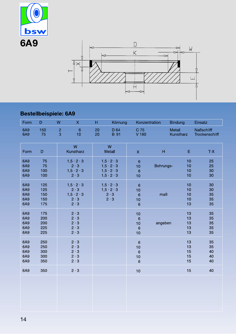



# Bestellbeispiele: 6A9

| Form                            | D                               | W                   | $\mathsf{X}$                                                                                  | H.       | Körnung                                                                                              | Konzentration                                                     |           | <b>Bindung</b>             | Einsatz                             |
|---------------------------------|---------------------------------|---------------------|-----------------------------------------------------------------------------------------------|----------|------------------------------------------------------------------------------------------------------|-------------------------------------------------------------------|-----------|----------------------------|-------------------------------------|
| 6A9<br>6A9                      | 150<br>75                       | $\overline{c}$<br>3 | $6\phantom{1}6$<br>10                                                                         | 20<br>20 | D 64<br><b>B</b> 91                                                                                  |                                                                   |           | Metall<br>Kunstharz        | <b>Naßschliff</b><br>Trockenschliff |
| Form                            | D                               |                     | W<br>Kunstharz                                                                                |          | W<br>Metall                                                                                          | $\mathsf{X}$                                                      | H         | Ε                          | $T-X$                               |
| 6A9<br>6A9<br>6A9<br>6A9        | 75<br>75<br>100<br>100          |                     | $1, 5 \cdot 2 \cdot 3$<br>$2 \cdot 3$<br>$1, 5 \cdot 2 \cdot 3$<br>$2 \cdot 3$                |          | $1, 5 \cdot 2 \cdot 3$<br>$1, 5 \cdot 2 \cdot 3$<br>$1, 5 \cdot 2 \cdot 3$<br>$1, 5 \cdot 2 \cdot 3$ | $6\phantom{1}6$<br>10<br>$6\phantom{1}6$<br>10                    | Bohrungs- | 10<br>10<br>10<br>10       | 25<br>25<br>30<br>30                |
| 6A9<br>6A9<br>6A9<br>6A9<br>6A9 | 125<br>125<br>150<br>150<br>175 |                     | $1, 5 \cdot 2 \cdot 3$<br>$2 \cdot 3$<br>$1, 5 \cdot 2 \cdot 3$<br>$2 \cdot 3$<br>$2 \cdot 3$ |          | $1, 5 \cdot 2 \cdot 3$<br>$1, 5 \cdot 2 \cdot 3$<br>$2 \cdot 3$<br>$2 \cdot 3$                       | $6\phantom{1}6$<br>10<br>$6\phantom{1}6$<br>10<br>$6\phantom{1}6$ | maB       | 10<br>10<br>10<br>10<br>13 | 30<br>30<br>35<br>35<br>35          |
| 6A9<br>6A9<br>6A9<br>6A9<br>6A9 | 175<br>200<br>200<br>225<br>225 |                     | $2 \cdot 3$<br>$2 \cdot 3$<br>$2 \cdot 3$<br>$2 \cdot 3$<br>$2 \cdot 3$                       |          |                                                                                                      | 10<br>$6\phantom{1}6$<br>10<br>$6\phantom{1}6$<br>10              | angeben   | 13<br>13<br>13<br>13<br>13 | 35<br>35<br>35<br>35<br>35          |
| 6A9<br>6A9<br>6A9<br>6A9<br>6A9 | 250<br>250<br>300<br>300<br>350 |                     | $2 \cdot 3$<br>$2 \cdot 3$<br>$2 \cdot 3$<br>$2 \cdot 3$<br>$2 \cdot 3$                       |          |                                                                                                      | $\,$ 6 $\,$<br>10<br>$6\phantom{1}6$<br>10<br>$6\phantom{1}6$     |           | 13<br>13<br>15<br>15<br>15 | 35<br>35<br>40<br>40<br>40          |
| 6A9                             | 350                             |                     | $2 \cdot 3$                                                                                   |          |                                                                                                      | 10                                                                |           | 15                         | 40                                  |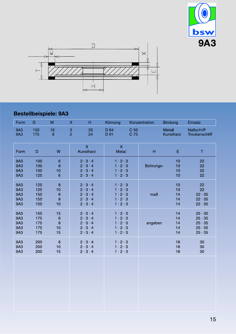



## Bestellbeispiele: 9A3

| Form                     | D          | W               | $\boldsymbol{\mathsf{X}}$<br>H       | Körnung                       | Konzentration           | <b>Bindung</b>             | Einsatz                             |
|--------------------------|------------|-----------------|--------------------------------------|-------------------------------|-------------------------|----------------------------|-------------------------------------|
| <b>9A3</b><br><b>9A3</b> | 150<br>175 | 10<br>8         | 3<br>20<br>$\overline{2}$<br>24      | D 64<br>D 91                  | C <sub>50</sub><br>C 75 | <b>Metall</b><br>Kunstharz | <b>Naßschliff</b><br>Trockenschliff |
| Form                     | D          | W               | $\overline{\mathsf{X}}$<br>Kunstharz | $\mathsf{X}$<br><b>Metall</b> | Н                       | Ε                          | T                                   |
| 9A3                      | 100        | 6               | $2 \cdot 3 \cdot 4$                  | $1 \cdot 2 \cdot 3$           | Bohrungs-               | 10                         | 22                                  |
| <b>9A3</b>               | 100        | 8               | $2 \cdot 3 \cdot 4$                  | $1 \cdot 2 \cdot 3$           |                         | 10                         | 22                                  |
| 9A3                      | 100        | 10              | $2 \cdot 3 \cdot 4$                  | $1 \cdot 2 \cdot 3$           |                         | 10                         | 22                                  |
| <b>9A3</b>               | 125        | $6\phantom{1}6$ | $2 \cdot 3 \cdot 4$                  | $1 \cdot 2 \cdot 3$           |                         | 10                         | 22                                  |
| <b>9A3</b>               | 125        | 8               | $2 \cdot 3 \cdot 4$                  | $1 \cdot 2 \cdot 3$           | maß                     | 10                         | 22                                  |
| 9A3                      | 125        | 10              | $2 \cdot 3 \cdot 4$                  | $1 \cdot 2 \cdot 3$           |                         | 10                         | 22                                  |
| <b>9A3</b>               | 150        | $6\phantom{1}6$ | $2 \cdot 3 \cdot 4$                  | $1 \cdot 2 \cdot 3$           |                         | 14                         | $22 \cdot 35$                       |
| <b>9A3</b>               | 150        | 8               | $2 \cdot 3 \cdot 4$                  | $1 \cdot 2 \cdot 3$           |                         | 14                         | $22 \cdot 35$                       |
| 9A3                      | 150        | 10              | $2 \cdot 3 \cdot 4$                  | $1 \cdot 2 \cdot 3$           |                         | 14                         | $22 \cdot 35$                       |
| 9A3                      | 150        | 15              | $2 \cdot 3 \cdot 4$                  | $1 \cdot 2 \cdot 3$           | angeben                 | 14                         | $25 \cdot 35$                       |
| <b>9A3</b>               | 175        | $\,$ 6          | $2 \cdot 3 \cdot 4$                  | $1 \cdot 2 \cdot 3$           |                         | 14                         | $25 \cdot 35$                       |
| 9A3                      | 175        | 8               | $2 \cdot 3 \cdot 4$                  | $1 \cdot 2 \cdot 3$           |                         | 14                         | $25 \cdot 35$                       |
| <b>9A3</b>               | 175        | 10              | $2 \cdot 3 \cdot 4$                  | $1 \cdot 2 \cdot 3$           |                         | 14                         | $25 \cdot 35$                       |
| 9A3                      | 175        | 15              | $2 \cdot 3 \cdot 4$                  | $1 \cdot 2 \cdot 3$           |                         | 14                         | $25 \cdot 35$                       |
| 9A3                      | 200        | 8               | $2 \cdot 3 \cdot 4$                  | $1 \cdot 2 \cdot 3$           |                         | 18                         | 30                                  |
| 9A3                      | 200        | 10              | $2 \cdot 3 \cdot 4$                  | $1 \cdot 2 \cdot 3$           |                         | 18                         | 30                                  |
| 9A3                      | 200        | 15              | $2 \cdot 3 \cdot 4$                  | $1 \cdot 2 \cdot 3$           |                         | 18                         | 30                                  |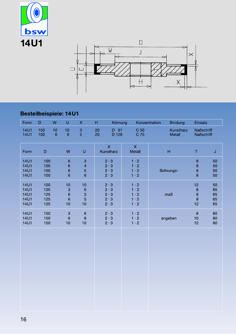



# Bestellbeispiele: 14U1

| Form                                                                    | $\mathsf D$                     | ${\sf W}$         | $\sf U$                                                              | $\mathsf X$                                                                                                | H        | Körnung                                                                 |                                                                         | Konzentration | <b>Bindung</b>            | Einsatz                                  |                            |
|-------------------------------------------------------------------------|---------------------------------|-------------------|----------------------------------------------------------------------|------------------------------------------------------------------------------------------------------------|----------|-------------------------------------------------------------------------|-------------------------------------------------------------------------|---------------|---------------------------|------------------------------------------|----------------------------|
| <b>14U1</b><br><b>14U1</b>                                              | 150<br>100                      | 10<br>$\,$ 6 $\,$ | 10<br>$\,$ 6 $\,$                                                    | $\ensuremath{\mathsf{3}}$<br>$\overline{2}$                                                                | 20<br>20 | D 91<br>D 126                                                           | C <sub>50</sub><br>C 75                                                 |               | Kunstharz<br>Metall       | <b>Naßschliff</b><br>Naßschliff          |                            |
| Form                                                                    | $\mathsf D$                     |                   | W                                                                    | $\mathsf{U}% _{T}=\mathsf{U}_{T}\!\left( a,b\right) ,\ \mathsf{U}_{T}=\mathsf{U}_{T}\!\left( a,b\right) ,$ |          | $\overline{\mathsf{X}}$<br>Kunstharz                                    | $\mathsf X$<br>Metall                                                   |               | $\boldsymbol{\mathsf{H}}$ | T                                        | $\mathsf J$                |
| <b>14U1</b><br><b>14U1</b><br><b>14U1</b><br><b>14U1</b>                | 100<br>100<br>100<br>100        |                   | $\mathbf 6$<br>$\overline{6}$<br>$\boldsymbol{6}$<br>$6\overline{6}$ | 3<br>$\overline{\mathcal{A}}$<br>5<br>$\overline{6}$                                                       |          | $2 \cdot 3$<br>$2 \cdot 3$<br>$2 \cdot 3$<br>$2 \cdot 3$                | $1 \cdot 2$<br>$1 \cdot 2$<br>$1 \cdot 2$<br>$1 \cdot 2$                |               | Bohrungs-                 | $\bf 8$<br>8<br>8<br>$\overline{8}$      | 50<br>50<br>50<br>50       |
| <b>14U1</b><br><b>14U1</b><br><b>14U1</b><br><b>14U1</b><br><b>14U1</b> | 100<br>125<br>125<br>125<br>125 |                   | 10<br>3<br>$\,$ 6 $\,$<br>$\,$ 6 $\,$<br>10                          | 10<br>$\,$ 6 $\,$<br>3<br>5<br>10                                                                          |          | $2 \cdot 3$<br>$2 \cdot 3$<br>$2 \cdot 3$<br>$2 \cdot 3$<br>$2 \cdot 3$ | $1 \cdot 2$<br>$1 \cdot 2$<br>$1 \cdot 2$<br>$1 \cdot 2$<br>$1 \cdot 2$ |               | maß                       | 12<br>$\bf8$<br>$\bf 8$<br>$\bf 8$<br>12 | 50<br>65<br>65<br>65<br>65 |
| <b>14U1</b><br><b>14U1</b><br><b>14U1</b>                               | 150<br>150<br>150               |                   | 3<br>$\,$ 6 $\,$<br>10                                               | $\mathbf 6$<br>$\bf 8$<br>10                                                                               |          | $2 \cdot 3$<br>$2 \cdot 3$<br>$2 \cdot 3$                               | $1 \cdot 2$<br>$1 \cdot 2$<br>$1 \cdot 2$                               |               | angeben                   | $\boldsymbol{8}$<br>$10$<br>12           | 80<br>80<br>80             |
|                                                                         |                                 |                   |                                                                      |                                                                                                            |          |                                                                         |                                                                         |               |                           |                                          |                            |
|                                                                         |                                 |                   |                                                                      |                                                                                                            |          |                                                                         |                                                                         |               |                           |                                          |                            |
|                                                                         |                                 |                   |                                                                      |                                                                                                            |          |                                                                         |                                                                         |               |                           |                                          |                            |
|                                                                         |                                 |                   |                                                                      |                                                                                                            |          |                                                                         |                                                                         |               |                           |                                          |                            |
|                                                                         |                                 |                   |                                                                      |                                                                                                            |          |                                                                         |                                                                         |               |                           |                                          |                            |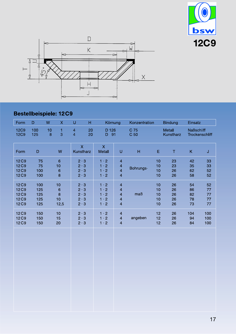



# Bestellbeispiele: 12C9

| Form                                                                     | D                               | W                      | $\boldsymbol{\mathsf{X}}$                     | $\cup$                                                                  | H        | Körnung                                                                 |                                                                                                               | Konzentration             |                            | <b>Bindung</b>             | Einsatz                    |                            |
|--------------------------------------------------------------------------|---------------------------------|------------------------|-----------------------------------------------|-------------------------------------------------------------------------|----------|-------------------------------------------------------------------------|---------------------------------------------------------------------------------------------------------------|---------------------------|----------------------------|----------------------------|----------------------------|----------------------------|
| <b>12C9</b><br><b>12C9</b>                                               | 100<br>125                      | 10<br>$\boldsymbol{8}$ | 1<br>3                                        | $\overline{\mathcal{L}}$<br>$\overline{4}$                              | 20<br>20 | D 126<br>91<br>D.                                                       |                                                                                                               | C 75<br>C <sub>50</sub>   |                            | <b>Metall</b><br>Kunstharz | <b>Naßschliff</b>          | Trockenschliff             |
| Form                                                                     | $\mathsf D$                     |                        | W                                             | $\mathsf{X}$<br>Kunstharz                                               |          | $\mathsf{X}$<br>Metall                                                  | U                                                                                                             | $\boldsymbol{\mathsf{H}}$ | E                          | $\top$                     | K                          | J                          |
| 12C9<br>12C9<br>12 <sub>C9</sub><br>12C9                                 | 75<br>75<br>100<br>100          |                        | $6\phantom{1}6$<br>10<br>$6\phantom{1}6$<br>8 | $2 \cdot 3$<br>$2 \cdot 3$<br>$2 \cdot 3$<br>$2 \cdot 3$                |          | $1 \cdot 2$<br>$1 \cdot 2$<br>$1 \cdot 2$<br>$1 \cdot 2$                | $\overline{\mathbf{4}}$<br>$\overline{\mathbf{4}}$<br>$\overline{4}$<br>$\overline{4}$                        | Bohrungs-                 | 10<br>10<br>10<br>10       | 23<br>23<br>26<br>26       | 42<br>35<br>62<br>58       | 33<br>33<br>52<br>52       |
| 12 <sub>C9</sub><br>12 <sub>C9</sub><br>12C9<br>12 <sub>C9</sub><br>12C9 | 100<br>125<br>125<br>125<br>125 |                        | 10<br>$\epsilon$<br>8<br>10<br>12,5           | $2 \cdot 3$<br>$2 \cdot 3$<br>$2 \cdot 3$<br>$2 \cdot 3$<br>$2 \cdot 3$ |          | $1 \cdot 2$<br>$1 \cdot 2$<br>$1 \cdot 2$<br>$1 \cdot 2$<br>$1 \cdot 2$ | $\overline{\mathbf{4}}$<br>$\overline{\mathbf{4}}$<br>$\overline{\mathbf{4}}$<br>4<br>$\overline{\mathbf{4}}$ | maß                       | 10<br>10<br>10<br>10<br>10 | 26<br>26<br>26<br>26<br>26 | 54<br>86<br>82<br>78<br>73 | 52<br>77<br>77<br>77<br>77 |
| 12C9<br>12C9<br>12 <sub>C9</sub>                                         | 150<br>150<br>150               |                        | 10<br>15<br>20                                | $2 \cdot 3$<br>$2 \cdot 3$<br>$2 \cdot 3$                               |          | $1 \cdot 2$<br>$1 \cdot 2$<br>$1 \cdot 2$                               | $\overline{\mathbf{4}}$<br>$\overline{\mathbf{4}}$<br>$\overline{4}$                                          | angeben                   | 12<br>12<br>12             | 26<br>26<br>26             | 104<br>94<br>84            | 100<br>100<br>100          |
|                                                                          |                                 |                        |                                               |                                                                         |          |                                                                         |                                                                                                               |                           |                            |                            |                            |                            |
|                                                                          |                                 |                        |                                               |                                                                         |          |                                                                         |                                                                                                               |                           |                            |                            |                            |                            |
|                                                                          |                                 |                        |                                               |                                                                         |          |                                                                         |                                                                                                               |                           |                            |                            |                            |                            |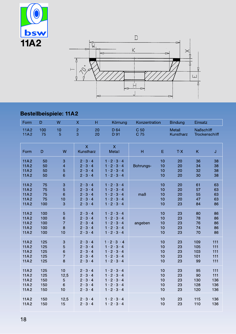



### Bestellbeispiele: 11A2

| Form                                 | D                               | W                                   | н<br>$\boldsymbol{\mathsf{X}}$                                                                                       | Körnung                                                                                                                                                 | Konzentration |                            | <b>Bindung</b>             | Einsatz                        |                                 |
|--------------------------------------|---------------------------------|-------------------------------------|----------------------------------------------------------------------------------------------------------------------|---------------------------------------------------------------------------------------------------------------------------------------------------------|---------------|----------------------------|----------------------------|--------------------------------|---------------------------------|
| 11A2<br><b>11A2</b>                  | 100<br>75                       | 10<br>5                             | $\overline{2}$<br>20<br>3<br>20                                                                                      | D 64<br>D 91                                                                                                                                            | C 50<br>C 75  |                            | Metall<br>Kunstharz        | <b>Naßschliff</b>              | Trockenschliff                  |
| Form                                 | $\mathsf D$                     | W                                   | $\overline{\mathsf{X}}$<br>Kunstharz                                                                                 | $\overline{\mathsf{X}}$<br>Metall                                                                                                                       | H             | E                          | $T-X$                      | K                              | J                               |
| 11A2<br>11A2<br>11A2<br>11A2         | 50<br>50<br>50<br>50            | 3<br>4<br>5<br>6                    | $2 \cdot 3 \cdot 4$<br>$2 \cdot 3 \cdot 4$<br>$2 \cdot 3 \cdot 4$<br>$2 \cdot 3 \cdot 4$                             | $1 \cdot 2 \cdot 3 \cdot 4$<br>$1 \cdot 2 \cdot 3 \cdot 4$<br>$1 \cdot 2 \cdot 3 \cdot 4$<br>$1 \cdot 2 \cdot 3 \cdot 4$                                | Bohrungs-     | 10<br>10<br>10<br>10       | 20<br>20<br>20<br>20       | 36<br>34<br>32<br>30           | 38<br>38<br>38<br>38            |
| 11A2<br>11A2<br>11A2<br>11A2<br>11A2 | 75<br>75<br>75<br>75<br>100     | 3<br>5<br>6<br>10<br>3              | $3 \cdot 4$<br>$2 \cdot$<br>$2 \cdot 3 \cdot 4$<br>$2 \cdot 3 \cdot 4$<br>$2 \cdot 3 \cdot 4$<br>$2 \cdot 3 \cdot 4$ | $1 \cdot 2 \cdot 3 \cdot 4$<br>$1 \cdot 2 \cdot 3 \cdot 4$<br>$1 \cdot 2 \cdot 3 \cdot 4$<br>$1 \cdot 2 \cdot 3 \cdot 4$<br>$1 \cdot 2 \cdot 3 \cdot 4$ | maß           | 10<br>10<br>10<br>10<br>10 | 20<br>20<br>20<br>20<br>23 | 61<br>57<br>55<br>47<br>84     | 63<br>63<br>63<br>63<br>86      |
| 11A2<br>11A2<br>11A2<br>11A2<br>11A2 | 100<br>100<br>100<br>100<br>100 | 5<br>6<br>$\overline{7}$<br>8<br>10 | $2 \cdot 3 \cdot 4$<br>$2 \cdot 3 \cdot 4$<br>$2 \cdot 3 \cdot 4$<br>$2 \cdot 3 \cdot 4$<br>$2 \cdot 3 \cdot 4$      | $1 \cdot 2 \cdot 3 \cdot 4$<br>$1 \cdot 2 \cdot 3 \cdot 4$<br>$1 \cdot 2 \cdot 3 \cdot 4$<br>$1 \cdot 2 \cdot 3 \cdot 4$<br>$1 \cdot 2 \cdot 3 \cdot 4$ | angeben       | 10<br>10<br>10<br>10<br>10 | 23<br>23<br>23<br>23<br>23 | 80<br>78<br>76<br>74<br>70     | 86<br>86<br>86<br>86<br>86      |
| 11A2<br>11A2<br>11A2<br>11A2<br>11A2 | 125<br>125<br>125<br>125<br>125 | 3<br>5<br>6<br>$\overline{7}$<br>8  | $2 \cdot 3 \cdot 4$<br>$2 \cdot 3 \cdot 4$<br>$3 \cdot 4$<br>$2 \cdot$<br>$2 \cdot 3 \cdot 4$<br>$2 \cdot 3 \cdot 4$ | $1 \cdot 2 \cdot 3 \cdot 4$<br>$1 \cdot 2 \cdot 3 \cdot 4$<br>$1 \cdot 2 \cdot 3 \cdot 4$<br>$1 \cdot 2 \cdot 3 \cdot 4$<br>$1 \cdot 2 \cdot 3 \cdot 4$ |               | 10<br>10<br>10<br>10<br>10 | 23<br>23<br>23<br>23<br>23 | 109<br>105<br>103<br>101<br>99 | 111<br>111<br>111<br>111<br>111 |
| 11A2<br>11A2<br>11A2<br>11A2<br>11A2 | 125<br>125<br>150<br>150<br>150 | 10<br>12,5<br>5<br>6<br>10          | $2 \cdot 3 \cdot 4$<br>$2 \cdot 3 \cdot 4$<br>$2 \cdot 3 \cdot 4$<br>$2 \cdot 3 \cdot 4$<br>$2 \cdot 3 \cdot 4$      | $1 \cdot 2 \cdot 3 \cdot 4$<br>$1 \cdot 2 \cdot 3 \cdot 4$<br>$1 \cdot 2 \cdot 3 \cdot 4$<br>$1 \cdot 2 \cdot 3 \cdot 4$<br>$1 \cdot 2 \cdot 3 \cdot 4$ |               | 10<br>10<br>10<br>10<br>10 | 23<br>23<br>23<br>23<br>23 | 95<br>90<br>130<br>128<br>120  | 111<br>111<br>136<br>136<br>136 |
| 11A2<br>11A2                         | 150<br>150                      | 12,5<br>15                          | $2 \cdot 3 \cdot 4$<br>$2 \cdot 3 \cdot 4$                                                                           | $1 \cdot 2 \cdot 3 \cdot 4$<br>$1 \cdot 2 \cdot 3 \cdot 4$                                                                                              |               | 10<br>10                   | 23<br>23                   | 115<br>110                     | 136<br>136                      |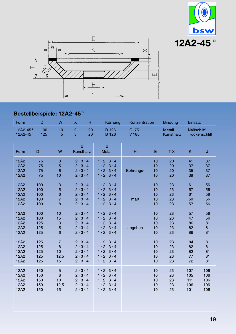



### Bestellbeispiele: 12A2-45°

| Form                 | D          | W               | $\mathsf{X}$<br>н                    | Körnung                           | Konzentration |    | <b>Bindung</b>             | Einsatz           |                |
|----------------------|------------|-----------------|--------------------------------------|-----------------------------------|---------------|----|----------------------------|-------------------|----------------|
| 12A2-45°<br>12A2-45° | 100<br>125 | 10<br>5         | $\frac{2}{3}$<br>20<br>20            | D 126<br><b>B</b> 126             | C 75<br>V 180 |    | <b>Metall</b><br>Kunstharz | <b>Naßschliff</b> | Trockenschliff |
| Form                 | D          | W               | $\overline{\mathsf{X}}$<br>Kunstharz | $\overline{\mathsf{X}}$<br>Metall | H             | E  | $T-X$                      | K.                | J              |
| 12A2                 | 75         | 3               | $2 \cdot 3 \cdot 4$                  | $1 \cdot 2 \cdot 3 \cdot 4$       | Bohrungs-     | 10 | 20                         | 41                | 37             |
| 12A2                 | 75         | 5               | $2 \cdot 3 \cdot 4$                  | $1 \cdot 2 \cdot 3 \cdot 4$       |               | 10 | 20                         | 37                | 37             |
| 12A2                 | 75         | $6\phantom{1}6$ | $2 \cdot 3 \cdot 4$                  | $1 \cdot 2 \cdot 3 \cdot 4$       |               | 10 | 20                         | 35                | 37             |
| 12A2                 | 75         | 10              | $2 \cdot 3 \cdot 4$                  | $1 \cdot 2 \cdot 3 \cdot 4$       |               | 10 | 20                         | 39                | 37             |
| 12A2                 | 100        | 3               | $2 \cdot 3 \cdot 4$                  | $1 \cdot 2 \cdot 3 \cdot 4$       | maB           | 10 | 23                         | 61                | 56             |
| 12A2                 | 100        | 5               | $2 \cdot 3 \cdot 4$                  | $1 \cdot 2 \cdot 3 \cdot 4$       |               | 10 | 23                         | 57                | 56             |
| 12A2                 | 100        | 6               | $2 \cdot 3 \cdot 4$                  | $1 \cdot 2 \cdot 3 \cdot 4$       |               | 10 | 23                         | 61                | 56             |
| 12A2                 | 100        | $\overline{7}$  | $2 \cdot 3 \cdot 4$                  | $1 \cdot 2 \cdot 3 \cdot 4$       |               | 10 | 23                         | 59                | 56             |
| <b>12A2</b>          | 100        | 8               | $2 \cdot 3 \cdot 4$                  | $1 \cdot 2 \cdot 3 \cdot 4$       |               | 10 | 23                         | 57                | 56             |
| 12A2                 | 100        | 10              | $2 \cdot 3 \cdot 4$                  | $1 \cdot 2 \cdot 3 \cdot 4$       | angeben       | 10 | 23                         | 57                | 56             |
| 12A2                 | 100        | 15              | $2 \cdot 3 \cdot 4$                  | $1 \cdot 2 \cdot 3 \cdot 4$       |               | 10 | 23                         | 47                | 56             |
| 12A2                 | 125        | 3               | $2 \cdot 3 \cdot 4$                  | $1 \cdot 2 \cdot 3 \cdot 4$       |               | 10 | 23                         | 86                | 81             |
| 12A2                 | 125        | 5               | $2 \cdot 3 \cdot 4$                  | $1 \cdot 2 \cdot 3 \cdot 4$       |               | 10 | 23                         | 82                | 81             |
| <b>12A2</b>          | 125        | 6               | $2 \cdot 3 \cdot 4$                  | $1 \cdot 2 \cdot 3 \cdot 4$       |               | 10 | 23                         | 86                | 81             |
| 12A2                 | 125        | $\overline{7}$  | $2 \cdot 3 \cdot 4$                  | $1 \cdot 2 \cdot 3 \cdot 4$       |               | 10 | 23                         | 84                | 81             |
| 12A2                 | 125        | 8               | $2 \cdot 3 \cdot 4$                  | $1 \cdot 2 \cdot 3 \cdot 4$       |               | 10 | 23                         | 82                | 81             |
| 12A2                 | 125        | 10              | $2 \cdot 3 \cdot 4$                  | $1 \cdot 2 \cdot 3 \cdot 4$       |               | 10 | 23                         | 82                | 81             |
| 12A2                 | 125        | 12,5            | $2 \cdot 3 \cdot 4$                  | $1 \cdot 2 \cdot 3 \cdot 4$       |               | 10 | 23                         | 77                | 81             |
| 12A2                 | 125        | 15              | $2 \cdot 3 \cdot 4$                  | $1 \cdot 2 \cdot 3 \cdot 4$       |               | 10 | 23                         | 72                | 81             |
| 12A2                 | 150        | $\overline{5}$  | $2 \cdot 3 \cdot 4$                  | $1 \cdot 2 \cdot 3 \cdot 4$       |               | 10 | 23                         | 107               | 106            |
| 12A2                 | 150        | $\,$ 6 $\,$     | $2 \cdot 3 \cdot 4$                  | $1 \cdot 2 \cdot 3 \cdot 4$       |               | 10 | 23                         | 105               | 106            |
| 12A2                 | 150        | 10              | $2 \cdot 3 \cdot 4$                  | $1 \cdot 2 \cdot 3 \cdot 4$       |               | 10 | 23                         | 111               | 106            |
| 12A2                 | 150        | 12,5            | $2 \cdot 3 \cdot 4$                  | $1 \cdot 2 \cdot 3 \cdot 4$       |               | 10 | 23                         | 106               | 106            |
| 12A2                 | 150        | 15              | $2 \cdot 3 \cdot 4$                  | $1 \cdot 2 \cdot 3 \cdot 4$       |               | 10 | 23                         | 101               | 106            |
|                      |            |                 |                                      |                                   |               |    |                            |                   |                |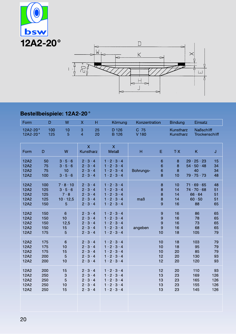



# Bestellbeispiele: 12A2-20°

| Form                 | D          | W               | H<br>$\boldsymbol{\mathsf{X}}$       | Körnung                                  | Konzentration |    | <b>Bindung</b>         | Einsatz                             |     |
|----------------------|------------|-----------------|--------------------------------------|------------------------------------------|---------------|----|------------------------|-------------------------------------|-----|
| 12A2-20°<br>12A2-20° | 100<br>125 | 10<br>5         | 3<br>25<br>$\overline{4}$<br>20      | D 126<br><b>B</b> 126                    | C 75<br>V 180 |    | Kunstharz<br>Kunstharz | <b>Naßschliff</b><br>Trockenschliff |     |
| Form                 | D          | W               | $\overline{\mathsf{X}}$<br>Kunstharz | $\overline{\mathsf{X}}$<br><b>Metall</b> | H             | E  | $T-X$                  | K                                   | J   |
| 12A2                 | 50         | 3.5.6           | $2 \cdot 3 \cdot 4$                  | $1 \cdot 2 \cdot 3 \cdot 4$              | Bohrungs-     | 6  | 8                      | $29 \cdot 25 \cdot 23$              | 15  |
| 12A2                 | 75         | 3.5.6           | $2 \cdot 3 \cdot 4$                  | $1 \cdot 2 \cdot 3 \cdot 4$              |               | 6  | 8                      | $54 \cdot 50 \cdot 48$              | 34  |
| 12A2                 | 75         | 10              | $2 \cdot 3 \cdot 4$                  | $1 \cdot 2 \cdot 3 \cdot 4$              |               | 6  | 8                      | 40                                  | 34  |
| 12A2                 | 100        | 3.5.6           | $2 \cdot 3 \cdot 4$                  | $1 \cdot 2 \cdot 3 \cdot 4$              |               | 8  | 10                     | 79.75.73                            | 48  |
| 12A2                 | 100        | 7.8.10          | $2 \cdot 3 \cdot 4$                  | $1 \cdot 2 \cdot 3 \cdot 4$              | maß           | 8  | 10                     | $71 \cdot 69 \cdot 65$              | 48  |
| 12A2                 | 125        | 3.5.6           | $2 \cdot 3 \cdot 4$                  | $1 \cdot 2 \cdot 3 \cdot 4$              |               | 8  | 14                     | $74 \cdot 70 \cdot 68$              | 51  |
| 12A2                 | 125        | $7 \cdot 8$     | $2 \cdot 3 \cdot 4$                  | $1 \cdot 2 \cdot 3 \cdot 4$              |               | 8  | 14                     | $66 \cdot 64$                       | 51  |
| 12A2                 | 125        | $10 \cdot 12,5$ | $2 \cdot 3 \cdot 4$                  | $1 \cdot 2 \cdot 3 \cdot 4$              |               | 8  | 14                     | 60.50                               | 51  |
| 12A2                 | 150        | 5               | $2 \cdot 3 \cdot 4$                  | $1 \cdot 2 \cdot 3 \cdot 4$              |               | 9  | 16                     | 88                                  | 65  |
| 12A2                 | 150        | $6\phantom{1}6$ | $2 \cdot 3 \cdot 4$                  | $1 \cdot 2 \cdot 3 \cdot 4$              | angeben       | 9  | 16                     | 86                                  | 65  |
| 12A2                 | 150        | 10              | $2 \cdot 3 \cdot 4$                  | $1 \cdot 2 \cdot 3 \cdot 4$              |               | 9  | 16                     | 78                                  | 65  |
| 12A2                 | 150        | 12,5            | $2 \cdot 3 \cdot 4$                  | $1 \cdot 2 \cdot 3 \cdot 4$              |               | 9  | 16                     | 73                                  | 65  |
| 12A2                 | 150        | 15              | $2 \cdot 3 \cdot 4$                  | $1 \cdot 2 \cdot 3 \cdot 4$              |               | 9  | 16                     | 68                                  | 65  |
| 12A2                 | 175        | $\overline{5}$  | $2 \cdot 3 \cdot 4$                  | $1 \cdot 2 \cdot 3 \cdot 4$              |               | 10 | 18                     | 105                                 | 79  |
| 12A2                 | 175        | $6\phantom{1}6$ | $2 \cdot 3 \cdot 4$                  | $1 \cdot 2 \cdot 3 \cdot 4$              |               | 10 | 18                     | 103                                 | 79  |
| 12A2                 | 175        | 10              | $2 \cdot 3 \cdot 4$                  | $1 \cdot 2 \cdot 3 \cdot 4$              |               | 10 | 18                     | 95                                  | 79  |
| 12A2                 | 175        | 15              | $2 \cdot 3 \cdot 4$                  | $1 \cdot 2 \cdot 3 \cdot 4$              |               | 10 | 20                     | 85                                  | 79  |
| 12A2                 | 200        | 5               | $2 \cdot 3 \cdot 4$                  | $1 \cdot 2 \cdot 3 \cdot 4$              |               | 12 | 20                     | 130                                 | 93  |
| 12A2                 | 200        | 10              | $2 \cdot 3 \cdot 4$                  | $1 \cdot 2 \cdot 3 \cdot 4$              |               | 12 | 20                     | 120                                 | 93  |
| 12A2                 | 200        | 15              | $2 \cdot 3 \cdot 4$                  | $1 \cdot 2 \cdot 3 \cdot 4$              |               | 12 | 20                     | 110                                 | 93  |
| 12A2                 | 250        | 3               | $2 \cdot 3 \cdot 4$                  | $1 \cdot 2 \cdot 3 \cdot 4$              |               | 13 | 23                     | 169                                 | 126 |
| 12A2                 | 250        | 5               | $2 \cdot 3 \cdot 4$                  | $1 \cdot 2 \cdot 3 \cdot 4$              |               | 13 | 23                     | 165                                 | 126 |
| 12A2                 | 250        | 10              | $2 \cdot 3 \cdot 4$                  | $1 \cdot 2 \cdot 3 \cdot 4$              |               | 13 | 23                     | 155                                 | 126 |
| 12A2                 | 250        | 15              | $2 \cdot 3 \cdot 4$                  | $1 \cdot 2 \cdot 3 \cdot 4$              |               | 13 | 23                     | 145                                 | 126 |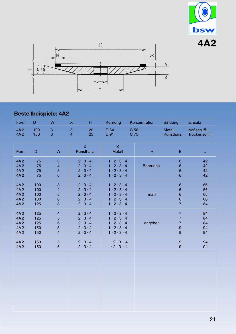



# Bestellbeispiele: 4A2

| Form       | D          | W                         | $\boldsymbol{\mathsf{X}}$<br>н       | Körnung                           | Konzentration | <b>Bindung</b>             | Einsatz                             |
|------------|------------|---------------------------|--------------------------------------|-----------------------------------|---------------|----------------------------|-------------------------------------|
| 4A2<br>4A2 | 100<br>150 | 3<br>$6\phantom{1}$       | 3<br>20<br>$\overline{4}$<br>25      | D 64<br>D 91                      | C 50<br>C 75  | <b>Metall</b><br>Kunstharz | <b>Naßschliff</b><br>Trockenschliff |
| Form       | D          | W                         | $\overline{\mathsf{X}}$<br>Kunstharz | $\overline{\mathsf{X}}$<br>Metall | H             | E                          | J                                   |
| 4A2        | 75         | 3                         | $2 \cdot 3 \cdot 4$                  | $1 \cdot 2 \cdot 3 \cdot 4$       | Bohrungs-     | $6\phantom{1}6$            | 42                                  |
| 4A2        | 75         | $\overline{\mathbf{4}}$   | $2 \cdot 3 \cdot 4$                  | $1 \cdot 2 \cdot 3 \cdot 4$       |               | 6                          | 42                                  |
| 4A2        | 75         | $\overline{5}$            | $2 \cdot 3 \cdot 4$                  | $1 \cdot 2 \cdot 3 \cdot 4$       |               | 6                          | 42                                  |
| 4A2        | 75         | $6\phantom{1}$            | $2 \cdot 3 \cdot 4$                  | $1 \cdot 2 \cdot 3 \cdot 4$       |               | $6\phantom{1}6$            | 42                                  |
| 4A2        | 100        | $\ensuremath{\mathsf{3}}$ | $2 \cdot 3 \cdot 4$                  | $1 \cdot 2 \cdot 3 \cdot 4$       | maB           | $\,$ 6 $\,$                | 66                                  |
| 4A2        | 100        | $\overline{\mathcal{A}}$  | $2 \cdot 3 \cdot 4$                  | $1 \cdot 2 \cdot 3 \cdot 4$       |               | $\mathbf 6$                | 66                                  |
| 4A2        | 100        | 5                         | $2 \cdot 3 \cdot 4$                  | $1 \cdot 2 \cdot 3 \cdot 4$       |               | $\,$ 6 $\,$                | 66                                  |
| 4A2        | 100        | 6                         | $2 \cdot 3 \cdot 4$                  | $1 \cdot 2 \cdot 3 \cdot 4$       |               | 6                          | 66                                  |
| 4A2        | 125        | 3                         | $2 \cdot 3 \cdot 4$                  | $1 \cdot 2 \cdot 3 \cdot 4$       |               | $\overline{7}$             | 84                                  |
| 4A2        | 125        | $\overline{\mathcal{A}}$  | $2 \cdot 3 \cdot 4$                  | $1 \cdot 2 \cdot 3 \cdot 4$       | angeben       | $\overline{7}$             | 84                                  |
| 4A2        | 125        | 5                         | $2 \cdot 3 \cdot 4$                  | $1 \cdot 2 \cdot 3 \cdot 4$       |               | $\overline{7}$             | 84                                  |
| 4A2        | 125        | $\,$ 6 $\,$               | $2 \cdot 3 \cdot 4$                  | $1 \cdot 2 \cdot 3 \cdot 4$       |               | $\overline{7}$             | 84                                  |
| 4A2        | 150        | 3                         | $2 \cdot 3 \cdot 4$                  | $1 \cdot 2 \cdot 3 \cdot 4$       |               | 9                          | 94                                  |
| 4A2        | 150        | $\overline{\mathbf{4}}$   | $2 \cdot 3 \cdot 4$                  | $1 \cdot 2 \cdot 3 \cdot 4$       |               | 9                          | 94                                  |
| 4A2        | 150        | 5                         | $2 \cdot 3 \cdot 4$                  | $1 \cdot 2 \cdot 3 \cdot 4$       |               | 9                          | 94                                  |
| 4A2        | 150        | 6                         | $2 \cdot 3 \cdot 4$                  | $1 \cdot 2 \cdot 3 \cdot 4$       |               | 9                          | 94                                  |
|            |            |                           |                                      |                                   |               |                            |                                     |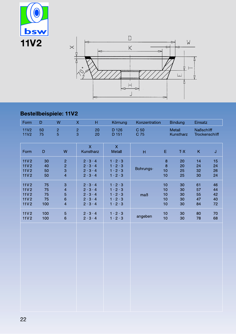



# **Bestellbeispiele: 11V2**

| Form                                                             | $\mathsf D$                 | ${\sf W}$                                                                                                        | $\mathsf{X}$<br>H                                                                                               | Körnung                                                                                                         | Konzentration |                                | <b>Bindung</b>             | Einsatz                             |                            |
|------------------------------------------------------------------|-----------------------------|------------------------------------------------------------------------------------------------------------------|-----------------------------------------------------------------------------------------------------------------|-----------------------------------------------------------------------------------------------------------------|---------------|--------------------------------|----------------------------|-------------------------------------|----------------------------|
| <b>11V2</b><br><b>11V2</b>                                       | 50<br>75                    | $\overline{c}$<br>$\overline{5}$                                                                                 | $\frac{2}{3}$<br>20<br>20                                                                                       | D 126<br>D 151                                                                                                  | C 50<br>C 75  |                                | Metall<br>Kunstharz        | <b>Naßschliff</b><br>Trockenschliff |                            |
| Form                                                             | $\mathsf D$                 | W                                                                                                                | $\mathsf{X}$<br>Kunstharz                                                                                       | $\mathsf{X}^{\scriptscriptstyle \top}$<br>Metall                                                                | H             | E                              | $T-X$                      | K.                                  | J                          |
| 11V <sub>2</sub><br>11V <sub>2</sub><br>11V <sub>2</sub><br>11V2 | 30<br>40<br>50<br>50        | $\overline{2}$<br>$\overline{c}$<br>$\ensuremath{\mathsf{3}}$<br>$\overline{4}$                                  | $2 \cdot 3 \cdot 4$<br>$2 \cdot 3 \cdot 4$<br>$2 \cdot 3 \cdot 4$<br>$2 \cdot 3 \cdot 4$                        | $1 \cdot 2 \cdot 3$<br>$1 \cdot 2 \cdot 3$<br>$1 \cdot 2 \cdot 3$<br>$1 \cdot 2 \cdot 3$                        | Bohrungs-     | $\bf 8$<br>$\bf 8$<br>10<br>10 | 20<br>20<br>25<br>25       | 14<br>24<br>32<br>30                | 15<br>24<br>26<br>24       |
| 11V <sub>2</sub><br>11V2<br>11V <sub>2</sub><br>11V2<br>11V2     | 75<br>75<br>75<br>75<br>100 | $\ensuremath{\mathsf{3}}$<br>$\overline{\mathbf{4}}$<br>$\overline{5}$<br>$\,$ 6 $\,$<br>$\overline{\mathbf{4}}$ | $2 \cdot 3 \cdot 4$<br>$2 \cdot 3 \cdot 4$<br>$2 \cdot 3 \cdot 4$<br>$2 \cdot 3 \cdot 4$<br>$2 \cdot 3 \cdot 4$ | $1 \cdot 2 \cdot 3$<br>$1 \cdot 2 \cdot 3$<br>$1 \cdot 2 \cdot 3$<br>$1 \cdot 2 \cdot 3$<br>$1 \cdot 2 \cdot 3$ | maß           | 10<br>10<br>10<br>10<br>10     | 30<br>30<br>30<br>30<br>30 | 61<br>57<br>55<br>47<br>84          | 46<br>44<br>42<br>40<br>72 |
| 11V2<br>11V2                                                     | 100<br>100                  | $\overline{5}$<br>$\,6\,$                                                                                        | $2 \cdot 3 \cdot 4$<br>$2 \cdot 3 \cdot 4$                                                                      | $1 \cdot 2 \cdot 3$<br>$1 \cdot 2 \cdot 3$                                                                      | angeben       | 10<br>10                       | 30<br>30                   | 80<br>78                            | $70\,$<br>68               |
|                                                                  |                             |                                                                                                                  |                                                                                                                 |                                                                                                                 |               |                                |                            |                                     |                            |
|                                                                  |                             |                                                                                                                  |                                                                                                                 |                                                                                                                 |               |                                |                            |                                     |                            |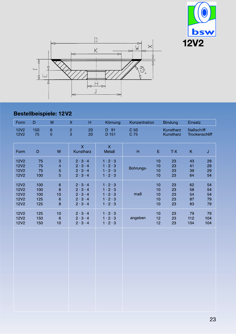



# Bestellbeispiele: 12V2

| Form                                                                    | D                               | W                                                               | Н<br>X                                                                                                          | Körnung                                                                                                         | Konzentration           |                            | <b>Bindung</b>             | Einsatz                    |                            |
|-------------------------------------------------------------------------|---------------------------------|-----------------------------------------------------------------|-----------------------------------------------------------------------------------------------------------------|-----------------------------------------------------------------------------------------------------------------|-------------------------|----------------------------|----------------------------|----------------------------|----------------------------|
| <b>12V2</b><br><b>12V2</b>                                              | 150<br>75                       | 6<br>5                                                          | $\overline{c}$<br>20<br>3<br>20                                                                                 | D 91<br>D 151                                                                                                   | C <sub>50</sub><br>C 75 |                            | Kunstharz<br>Kunstharz     | <b>Naßschliff</b>          | Trockenschliff             |
| Form                                                                    | D                               | W                                                               | $\overline{\mathsf{X}}$<br>Kunstharz                                                                            | $\overline{\mathsf{X}}$<br>Metall                                                                               | H                       | $\mathsf E$                | $T-X$                      | K                          | J                          |
| <b>12V2</b><br><b>12V2</b><br><b>12V2</b><br><b>12V2</b>                | 75<br>75<br>75<br>100           | $\ensuremath{\mathsf{3}}$<br>$\overline{\mathcal{L}}$<br>5<br>5 | $2 \cdot 3 \cdot 4$<br>$2 \cdot 3 \cdot 4$<br>$2 \cdot 3 \cdot 4$<br>$2 \cdot 3 \cdot 4$                        | $1 \cdot 2 \cdot 3$<br>$1 \cdot 2 \cdot 3$<br>$1 \cdot 2 \cdot 3$<br>$1 \cdot 2 \cdot 3$                        | Bohrungs-               | 10<br>10<br>10<br>10       | 23<br>23<br>23<br>23       | 43<br>41<br>39<br>64       | 29<br>29<br>29<br>54       |
| <b>12V2</b><br><b>12V2</b><br><b>12V2</b><br><b>12V2</b><br><b>12V2</b> | 100<br>100<br>100<br>125<br>125 | $\,$ 6 $\,$<br>8<br>10<br>$6\phantom{1}6$<br>8                  | $2 \cdot 3 \cdot 4$<br>$2 \cdot 3 \cdot 4$<br>$2 \cdot 3 \cdot 4$<br>$2 \cdot 3 \cdot 4$<br>$2 \cdot 3 \cdot 4$ | $1 \cdot 2 \cdot 3$<br>$1 \cdot 2 \cdot 3$<br>$1 \cdot 2 \cdot 3$<br>$1 \cdot 2 \cdot 3$<br>$1 \cdot 2 \cdot 3$ | maß                     | 10<br>10<br>10<br>10<br>10 | 23<br>23<br>23<br>23<br>23 | 62<br>58<br>54<br>87<br>83 | 54<br>54<br>54<br>79<br>79 |
| <b>12V2</b><br><b>12V2</b><br><b>12V2</b>                               | 125<br>150<br>150               | 10<br>$6\phantom{1}6$<br>10                                     | $2 \cdot 3 \cdot 4$<br>$2 \cdot 3 \cdot 4$<br>$2 \cdot 3 \cdot 4$                                               | $1 \cdot 2 \cdot 3$<br>$1 \cdot 2 \cdot 3$<br>$1 \cdot 2 \cdot 3$                                               | angeben                 | 10<br>12<br>12             | 23<br>23<br>23             | 79<br>112<br>104           | 79<br>104<br>104           |
|                                                                         |                                 |                                                                 |                                                                                                                 |                                                                                                                 |                         |                            |                            |                            |                            |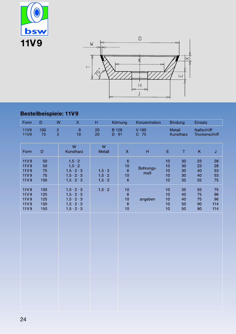



### Bestellbeispiele: 11V9

| Form                                                                    | $\mathsf D$                     | W                   | $\mathsf{X}$                                                                                                                   | H                                                  |                      | Körnung                                               | Konzentration    |                            | <b>Bindung</b>             | Einsatz                             |                              |
|-------------------------------------------------------------------------|---------------------------------|---------------------|--------------------------------------------------------------------------------------------------------------------------------|----------------------------------------------------|----------------------|-------------------------------------------------------|------------------|----------------------------|----------------------------|-------------------------------------|------------------------------|
| <b>11V9</b><br><b>11V9</b>                                              | 100<br>75                       | $\overline{c}$<br>3 | $\,$ 6 $\,$<br>10                                                                                                              | 20<br>20                                           | <b>B</b> 126<br>D 91 |                                                       | V 180<br>C 75    | Metall                     | Kunstharz                  | <b>Naßschliff</b><br>Trockenschliff |                              |
| Form                                                                    | $\mathsf D$                     |                     | W<br>Kunstharz                                                                                                                 | W<br>Metall                                        |                      | $\mathsf X$                                           | H                | E.                         | $\top$                     | $\mathsf K$                         | J                            |
| <b>11V9</b><br><b>11V9</b><br><b>11V9</b><br><b>11V9</b><br><b>11V9</b> | 50<br>50<br>75<br>75<br>100     |                     | $1, 5 \cdot 2$<br>$1, 5 \cdot 2$<br>$1, 5 \cdot 2 \cdot 3$<br>$1, 5 \cdot 2 \cdot 3$<br>$1, 5 \cdot 2 \cdot 3$                 | $1, 5 \cdot 2$<br>$1, 5 \cdot 2$<br>$1, 5 \cdot 2$ |                      | $\,$ 6 $\,$<br>$10$<br>$\,$ 6 $\,$<br>$10$<br>$\,6\,$ | Bohrungs-<br>maß | 10<br>10<br>10<br>10<br>10 | 30<br>30<br>30<br>30<br>35 | 23<br>23<br>40<br>40<br>55          | 28<br>28<br>53<br>53<br>75   |
| <b>11V9</b><br><b>11V9</b><br><b>11V9</b><br>11V9<br><b>11V9</b>        | 100<br>125<br>125<br>150<br>150 |                     | $1, 5 \cdot 2 \cdot 3$<br>$1, 5 \cdot 2 \cdot 3$<br>$1, 5 \cdot 2 \cdot 3$<br>$1, 5 \cdot 2 \cdot 3$<br>$1, 5 \cdot 2 \cdot 3$ | $1, 5 \cdot 2$                                     |                      | 10<br>$\,$ 6 $\,$<br>10<br>$\,$ 6 $\,$<br>10          | angeben          | 10<br>10<br>10<br>10<br>10 | 35<br>40<br>40<br>50<br>50 | 55<br>75<br>75<br>90<br>90          | 75<br>96<br>96<br>114<br>114 |
|                                                                         |                                 |                     |                                                                                                                                |                                                    |                      |                                                       |                  |                            |                            |                                     |                              |
|                                                                         |                                 |                     |                                                                                                                                |                                                    |                      |                                                       |                  |                            |                            |                                     |                              |
|                                                                         |                                 |                     |                                                                                                                                |                                                    |                      |                                                       |                  |                            |                            |                                     |                              |
|                                                                         |                                 |                     |                                                                                                                                |                                                    |                      |                                                       |                  |                            |                            |                                     |                              |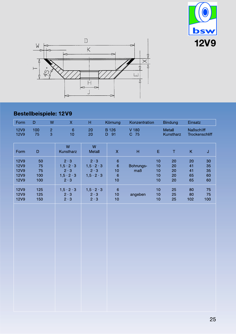



## Bestellbeispiele: 12V9

| H                                                                              |                                              |                                 |                            | <b>Bindung</b>             | Einsatz                    |                            |
|--------------------------------------------------------------------------------|----------------------------------------------|---------------------------------|----------------------------|----------------------------|----------------------------|----------------------------|
| 20<br>20                                                                       |                                              | V 180<br>C 75                   |                            | Metall<br>Kunstharz        | <b>Naßschliff</b>          | Trockenschliff             |
| W<br>Metall                                                                    | $\mathsf X$                                  | H                               | E,                         | $\top$                     | K                          | $\sf J$                    |
| $2 \cdot 3$<br>$1, 5 \cdot 2 \cdot 3$<br>$2 \cdot 3$<br>$1, 5 \cdot 2 \cdot 3$ | $\,6\,$<br>$\,6\,$<br>10<br>$\sqrt{6}$<br>10 | Bohrungs-<br>maß                | 10<br>10<br>10<br>10<br>10 | 20<br>20<br>20<br>20<br>20 | 20<br>41<br>41<br>65<br>65 | 30<br>35<br>35<br>60<br>60 |
| $1, 5 \cdot 2 \cdot 3$<br>$2 \cdot 3$<br>$2 \cdot 3$                           | $\,6\,$<br>10<br>10                          | angeben                         | 10<br>10<br>$10$           | 25<br>25<br>25             | 80<br>80<br>102            | 75<br>75<br>100            |
|                                                                                |                                              |                                 |                            |                            |                            |                            |
|                                                                                |                                              | Körnung<br><b>B</b> 126<br>D 91 |                            | Konzentration              |                            |                            |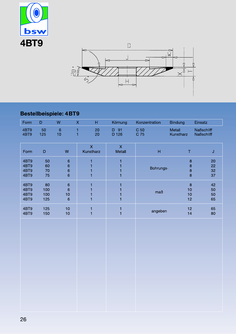



# Bestellbeispiele: 4BT9

| Form                         | D                       | W                             | $\mathsf{X}$<br>H                      | Körnung                       | Konzentration | <b>Bindung</b>                            | Einsatz                                |
|------------------------------|-------------------------|-------------------------------|----------------------------------------|-------------------------------|---------------|-------------------------------------------|----------------------------------------|
| 4BT9<br>4BT9                 | 50<br>125               | $\,$ 6 $\,$<br>10             | 1<br>20<br>1<br>20                     | D 91<br>D 126                 | C 50<br>C 75  | Metall<br>Kunstharz                       | <b>Naßschliff</b><br><b>Naßschliff</b> |
| Form                         | D                       | W                             | $\boldsymbol{\mathsf{X}}$<br>Kunstharz | $\mathsf{X}$<br><b>Metall</b> | H             | Τ                                         | J                                      |
| 4BT9<br>4BT9<br>4BT9<br>4BT9 | 50<br>60<br>70<br>75    | $6\phantom{1}$<br>6<br>6<br>6 | 1<br>1                                 |                               | Bohrungs-     | $\boldsymbol{8}$<br>$\bf8$<br>$\bf8$<br>8 | 20<br>22<br>32<br>37                   |
| 4BT9<br>4BT9<br>4BT9<br>4BT9 | 80<br>100<br>100<br>125 | 6<br>6<br>10<br>6             | 1<br>1<br>1                            |                               | maB           | 8<br>10<br>10<br>12                       | 42<br>50<br>50<br>65                   |
| 4BT9<br>4BT9                 | 125<br>150              | 10<br>10                      | 1<br>$\overline{1}$                    |                               | angeben       | 12<br>14                                  | 65<br>80                               |
|                              |                         |                               |                                        |                               |               |                                           |                                        |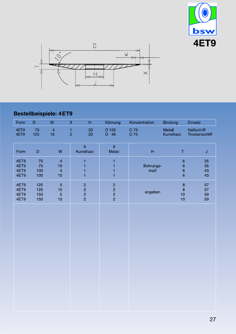



## Bestellbeispiele: 4ET9

| Form                         | D                                        | W                                                                           | H<br>$\mathsf X$                                               | Körnung                                                        | Konzentration             | <b>Bindung</b>                                                             | Einsatz                      |
|------------------------------|------------------------------------------|-----------------------------------------------------------------------------|----------------------------------------------------------------|----------------------------------------------------------------|---------------------------|----------------------------------------------------------------------------|------------------------------|
| 4ET9<br>4ET9                 | $\begin{array}{c} 75 \\ 125 \end{array}$ | $\begin{array}{c} 4 \\ 10 \end{array}$                                      | $\frac{1}{2}$<br>20<br>20                                      | D 126<br>D 46                                                  | C 75<br>C 75              | Metall<br>Kunstharz                                                        | Naßschliff<br>Trockenschliff |
| Form                         | $\mathsf D$                              | ${\sf W}$                                                                   | $\bar{\mathsf{X}}$<br>Kunstharz                                | $\mathsf X$<br>Metall                                          | $\boldsymbol{\mathsf{H}}$ | $\mathsf T$                                                                | $\mathsf J$                  |
| 4ET9<br>4ET9<br>4ET9<br>4ET9 | 75<br>75<br>100<br>100                   | $\overline{\mathbf{4}}$<br>10 <sub>1</sub><br>$\overline{\mathbf{4}}$<br>10 | $\mathbf{1}$<br>$\mathbf{1}$<br>$\mathbf{1}$<br>$\overline{1}$ | $\mathbf{1}$<br>$\blacksquare$<br>$\mathbf{1}$<br>$\mathbf{1}$ | Bohrungs-<br>maß          | $\boldsymbol{6}$<br>$\boldsymbol{6}$<br>$\overline{6}$<br>$\boldsymbol{6}$ | 35<br>35<br>43<br>43         |
| 4ET9<br>4ET9<br>4ET9<br>4ET9 | 125<br>125<br>150<br>150                 | $\overline{5}$<br>10<br>$\overline{5}$<br>10                                | $\begin{array}{c}\n 2 \\  2 \\  2\n \end{array}$               | $\begin{array}{c}\n 2 \\  2 \\  2\n \end{array}$               | angeben                   | $\bf8$<br>$\bf8$<br>10<br>10                                               | 57<br>57<br>59<br>59         |
|                              |                                          |                                                                             |                                                                |                                                                |                           |                                                                            |                              |
|                              |                                          |                                                                             |                                                                |                                                                |                           |                                                                            |                              |
|                              |                                          |                                                                             |                                                                |                                                                |                           |                                                                            |                              |
|                              |                                          |                                                                             |                                                                |                                                                |                           |                                                                            |                              |
|                              |                                          |                                                                             |                                                                |                                                                |                           |                                                                            |                              |
|                              |                                          |                                                                             |                                                                |                                                                |                           |                                                                            |                              |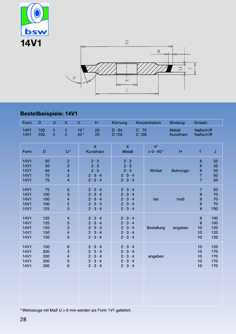

### Bestellbeispiele: 14V1

| Form                                                                    | D                               | U                   | $\mathsf{X}$                                    | V<br>H                                                                                                          | Körnung                                                                                                         |               | Konzentration           | <b>Bindung</b>             | Einsatz                                                                       |                                 |
|-------------------------------------------------------------------------|---------------------------------|---------------------|-------------------------------------------------|-----------------------------------------------------------------------------------------------------------------|-----------------------------------------------------------------------------------------------------------------|---------------|-------------------------|----------------------------|-------------------------------------------------------------------------------|---------------------------------|
| <b>14V1</b><br><b>14V1</b>                                              | 100<br>200                      | 3<br>$\overline{4}$ | 3<br>$\overline{3}$                             | 10 <sup>°</sup><br>20<br>$35\,^{\circ}$<br>20                                                                   | D 64<br>D 126                                                                                                   | C 75<br>C 100 |                         | <b>Metall</b><br>Kunstharz | <b>Naßschliff</b><br><b>Naßschliff</b>                                        |                                 |
| Form                                                                    | $\mathsf D$                     |                     | $U^*$                                           | $\overline{\mathsf{X}}$<br>Kunstharz                                                                            | $\boldsymbol{\mathsf{X}}$<br>Metall                                                                             |               | $V^{\circ}$<br>$>0-60°$ | H                          | Τ                                                                             | $\mathsf J$                     |
| <b>14V1</b><br><b>14V1</b><br><b>14V1</b><br><b>14V1</b><br><b>14V1</b> | 50<br>50<br>50<br>75<br>75      |                     | $\overline{c}$<br>3<br>4<br>3<br>$\overline{4}$ | $2 \cdot 3$<br>$2 \cdot 3$<br>$2 \cdot 3$<br>$2 \cdot 3 \cdot 4$<br>$2 \cdot 3 \cdot 4$                         | $2 \cdot 3$<br>$2 \cdot 3$<br>$2 \cdot 3$<br>$2 \cdot 3 \cdot 4$<br>$2 \cdot 3 \cdot 4$                         |               | Winkel                  | Bohrungs-                  | $\,$ 6 $\,$<br>$\,$ 6 $\,$<br>$\,$ 6 $\,$<br>$\overline{7}$<br>$\overline{7}$ | 32<br>32<br>32<br>50<br>50      |
| <b>14V1</b><br><b>14V1</b><br><b>14V1</b><br><b>14V1</b><br><b>14V1</b> | 75<br>100<br>100<br>100<br>125  |                     | 5<br>3<br>4<br>5<br>3                           | $2 \cdot 3 \cdot 4$<br>$2 \cdot 3 \cdot 4$<br>$2 \cdot 3 \cdot 4$<br>$2 \cdot 3 \cdot 4$<br>$2 \cdot 3 \cdot 4$ | $2 \cdot 3 \cdot 4$<br>$2 \cdot 3 \cdot 4$<br>$2 \cdot 3 \cdot 4$<br>$2 \cdot 3 \cdot 4$<br>$2 \cdot 3 \cdot 4$ |               | bei                     | maß                        | $\overline{7}$<br>8<br>8<br>8<br>8                                            | 50<br>70<br>70<br>70<br>100     |
| <b>14V1</b><br><b>14V1</b><br><b>14V1</b><br><b>14V1</b><br><b>14V1</b> | 125<br>125<br>150<br>150<br>150 |                     | $\overline{\mathcal{L}}$<br>5<br>3<br>4<br>5    | $2 \cdot 3 \cdot 4$<br>$2 \cdot 3 \cdot 4$<br>$2 \cdot 3 \cdot 4$<br>$2 \cdot 3 \cdot 4$<br>$2 \cdot 3 \cdot 4$ | $2 \cdot 3 \cdot 4$<br>$2 \cdot 3 \cdot 4$<br>$2 \cdot 3 \cdot 4$<br>$2 \cdot 3 \cdot 4$<br>$2 \cdot 3 \cdot 4$ |               | Bestellung              | angeben                    | $\bf8$<br>$\boldsymbol{8}$<br>10<br>10<br>10                                  | 100<br>100<br>120<br>120<br>120 |
| <b>14V1</b><br><b>14V1</b><br><b>14V1</b><br><b>14V1</b><br><b>14V1</b> | 150<br>200<br>200<br>200<br>200 |                     | $\,$ 6 $\,$<br>3<br>4<br>5<br>6                 | $2 \cdot 3 \cdot 4$<br>$2 \cdot 3 \cdot 4$<br>$2 \cdot 3 \cdot 4$<br>$2 \cdot 3 \cdot 4$<br>$2 \cdot 3 \cdot 4$ | $2 \cdot 3 \cdot 4$<br>$2 \cdot 3 \cdot 4$<br>$2 \cdot 3 \cdot 4$<br>$2 \cdot 3 \cdot 4$<br>$2 \cdot 3 \cdot 4$ |               | angeben                 |                            | 10<br>10<br>10<br>10<br>10                                                    | 120<br>170<br>170<br>170<br>170 |
|                                                                         |                                 |                     |                                                 |                                                                                                                 |                                                                                                                 |               |                         |                            |                                                                               |                                 |

\* Werkzeuge mit Maß U > 6 mm werden als Form 1V1 geliefert.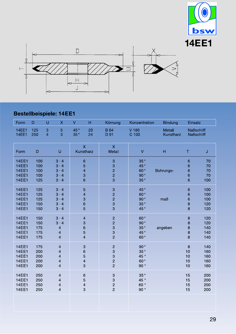



### Bestellbeispiele: 14EE1

| Form                                                                         | D                               | $\cup$              | X                                                                                                   | V                                           | H.                                                                | Körnung                                                                 | Konzentration                      | <b>Bindung</b>             | Einsatz                                                |                                 |  |
|------------------------------------------------------------------------------|---------------------------------|---------------------|-----------------------------------------------------------------------------------------------------|---------------------------------------------|-------------------------------------------------------------------|-------------------------------------------------------------------------|------------------------------------|----------------------------|--------------------------------------------------------|---------------------------------|--|
| <b>14EE1</b><br>14EE1                                                        | 125<br>250                      | 3<br>$\overline{4}$ | 5<br>3                                                                                              | 45°<br>35°                                  | 20<br>24                                                          | <b>B</b> 64<br>D 91                                                     | $V$ 180<br>C 100                   | <b>Metall</b><br>Kunstharz |                                                        | <b>Naßschliff</b><br>Naßschliff |  |
| Form                                                                         | $\mathsf D$                     |                     | $\cup$                                                                                              |                                             | $\overline{\mathsf{X}}$<br>Kunstharz                              | $\overline{\mathsf{X}}$<br>Metall                                       | V                                  | H                          | T                                                      | J                               |  |
| <b>14EE1</b><br><b>14EE1</b><br><b>14EE1</b><br><b>14EE1</b><br><b>14EE1</b> | 100<br>100<br>100<br>100<br>125 |                     | $3 \cdot 4$<br>$3 \cdot 4$<br>$3 \cdot 4$<br>$3 \cdot 4$<br>$3 \cdot 4$                             | 6<br>5<br>$\overline{\mathbf{4}}$<br>3<br>6 |                                                                   | $\ensuremath{\mathsf{3}}$<br>3<br>$\overline{a}$<br>$\overline{c}$<br>3 | 35°<br>45°<br>60°<br>90°<br>35°    | Bohrungs-                  | $\,$ 6 $\,$<br>$6\phantom{a}$<br>6<br>$\mathbf 6$<br>6 | 70<br>70<br>70<br>70<br>100     |  |
| <b>14EE1</b><br><b>14EE1</b><br><b>14EE1</b><br><b>14EE1</b><br><b>14EE1</b> | 125<br>125<br>125<br>150<br>150 |                     | $3 \cdot 4$<br>$3 \cdot 4$<br>$3 \cdot 4$<br>$3 \cdot 4$<br>$3 \cdot 4$                             | 5<br>4<br>3<br>$\overline{6}$<br>5          |                                                                   | $\frac{3}{2}$<br>$\overline{c}$<br>3<br>3                               | 45°<br>60°<br>90°<br>35°<br>45°    | maß                        | 6<br>6<br>6<br>8<br>8                                  | 100<br>100<br>100<br>120<br>120 |  |
| <b>14EE1</b><br><b>14EE1</b><br><b>14EE1</b><br><b>14EE1</b><br><b>14EE1</b> | 150<br>150<br>175<br>175<br>175 |                     | $3 \cdot 4$<br>$3 \cdot 4$<br>$\overline{\mathcal{L}}$<br>$\overline{\mathbf{4}}$<br>$\overline{4}$ |                                             | $\overline{\mathbf{4}}$<br>3<br>6<br>5<br>$\overline{\mathbf{4}}$ | $\overline{c}$<br>$\overline{a}$<br>3<br>3<br>$\overline{2}$            | 60°<br>90°<br>35°<br>45°<br>60°    | angeben                    | $\bf 8$<br>8<br>8<br>$\boldsymbol{8}$<br>$\bf{8}$      | 120<br>120<br>140<br>140<br>140 |  |
| <b>14EE1</b><br><b>14EE1</b><br><b>14EE1</b><br><b>14EE1</b><br><b>14EE1</b> | 175<br>200<br>200<br>200<br>200 |                     | $\overline{\mathbf{4}}$<br>4<br>4<br>4<br>$\overline{4}$                                            |                                             | $\ensuremath{\mathsf{3}}$<br>6<br>5<br>4<br>3                     | $\overline{c}$<br>$\mathbf{3}$<br>3<br>$\overline{c}$<br>$\overline{c}$ | 90°<br>35°<br>45°<br>60°<br>90°    |                            | $\bf 8$<br>10<br>10<br>10<br>10                        | 140<br>160<br>160<br>160<br>160 |  |
| <b>14EE1</b><br><b>14EE1</b><br><b>14EE1</b><br>14EE1                        | 250<br>250<br>250<br>250        |                     | $\overline{\mathbf{4}}$<br>$\overline{\mathcal{L}}$<br>4<br>$\overline{\mathbf{4}}$                 |                                             | $\,$ 6<br>5<br>$\overline{\mathcal{L}}$<br>3                      | $\ensuremath{\mathsf{3}}$<br>3<br>$\frac{2}{2}$                         | 35°<br>45°<br>60°<br>90 $^{\circ}$ |                            | 15<br>15<br>15<br>15                                   | 200<br>200<br>200<br>200        |  |
|                                                                              |                                 |                     |                                                                                                     |                                             |                                                                   |                                                                         |                                    |                            |                                                        |                                 |  |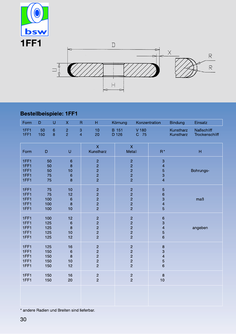

#### **Bestellbeispiele: 1FF1**

| Form                                 | D                               | $\cup$                     | $\mathsf{X}$                                    | $\overline{\mathsf{R}}$ | H                                                                                    | Körnung        |                                                                                        | Konzentration                                                                    | <b>Bindung</b>         | Einsatz                             |
|--------------------------------------|---------------------------------|----------------------------|-------------------------------------------------|-------------------------|--------------------------------------------------------------------------------------|----------------|----------------------------------------------------------------------------------------|----------------------------------------------------------------------------------|------------------------|-------------------------------------|
| 1FF1<br>1FF1                         | 50<br>150                       | $\,$ 6 $\,$<br>8           | $\overline{2}$<br>$\overline{2}$                | 3<br>$\overline{4}$     | 10<br>20                                                                             | B 151<br>D 126 | V 180<br>C 75                                                                          |                                                                                  | Kunstharz<br>Kunstharz | <b>Naßschliff</b><br>Trockenschliff |
| Form                                 | $\mathsf D$                     |                            | U                                               |                         | $\overline{\mathsf{X}}$<br>Kunstharz                                                 |                | $\mathsf{X}$<br>Metall                                                                 | $R^*$                                                                            |                        | H                                   |
| 1FF1<br>1FF1<br>1FF1<br>1FF1<br>1FF1 |                                 | 50<br>50<br>50<br>75<br>75 | $\,$ 6 $\,$<br>$\bf8$<br>10<br>$\,$ 6 $\,$<br>8 |                         | $\overline{c}$<br>$\overline{c}$<br>$\begin{array}{c}\n 2 \\  2 \\  2\n \end{array}$ |                | $\overline{c}$<br>$\overline{a}$<br>$\overline{a}$<br>$\overline{c}$<br>$\overline{a}$ | $\ensuremath{\mathsf{3}}$<br>$\overline{\mathbf{4}}$<br>5<br>3<br>$\overline{4}$ |                        | Bohrungs-                           |
| 1FF1<br>1FF1<br>1FF1<br>1FF1<br>1FF1 | 100<br>100<br>100               | 75<br>75                   | 10<br>12<br>$\,$ 6<br>$\bf{8}$<br>10            |                         | $\begin{array}{c}\n 2 \\  2 \\  2\n \end{array}$<br>$\overline{a}$                   |                | $\begin{array}{c}\n2 \\ 2 \\ 2\n\end{array}$<br>$\overline{a}$<br>$\overline{a}$       | $\overline{5}$<br>$\mathbf 6$<br>3<br>$\overline{\mathbf{4}}$<br>5               |                        | maB                                 |
| 1FF1<br>1FF1<br>1FF1<br>1FF1<br>1FF1 | 100<br>125<br>125<br>125<br>125 |                            | 12<br>$\,$ 6<br>8<br>10<br>12                   |                         | 22222                                                                                |                | $\frac{2}{2}$<br>$\frac{2}{2}$<br>$\overline{2}$                                       | $\mathbf 6$<br>3<br>$\overline{\mathbf{4}}$<br>5<br>$6\phantom{a}$               |                        | angeben                             |
| 1FF1<br>1FF1<br>1FF1<br>1FF1<br>1FF1 | 125<br>150<br>150<br>150<br>150 |                            | 16<br>$\,6\,$<br>8<br>10<br>12                  |                         | $\overline{\mathbf{c}}$<br>$\begin{array}{c}\n 2 \\  2 \\  2\n \end{array}$          |                | $\overline{c}$<br>$\overline{c}$<br>$\frac{2}{2}$<br>$\overline{c}$                    | $\bf8$<br>3<br>$\overline{\mathbf{4}}$<br>$\overline{5}$<br>$6\overline{6}$      |                        |                                     |
| 1FF1<br>1FF1                         | 150<br>150                      |                            | 16<br>20                                        |                         | $\begin{array}{c}\n2 \\ 2\n\end{array}$                                              |                | $\overline{c}$<br>$\overline{c}$                                                       | $\bf{8}$<br>10                                                                   |                        |                                     |
|                                      |                                 |                            |                                                 |                         |                                                                                      |                |                                                                                        |                                                                                  |                        |                                     |

\* andere Radien und Breiten sind lieferbar.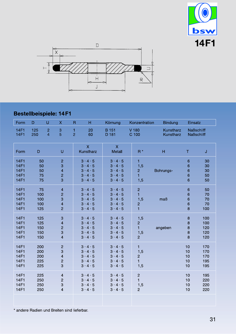



### **Bestellbeispiele: 14F1**

| Form                                                                    | D                               | U                                | $\boldsymbol{\mathsf{X}}$                                                                   | H<br>$\mathsf{R}$                                                                                               | Körnung                                                                                                         | Konzentration                                                             | <b>Bindung</b>                                              | Einsatz                                |                                 |
|-------------------------------------------------------------------------|---------------------------------|----------------------------------|---------------------------------------------------------------------------------------------|-----------------------------------------------------------------------------------------------------------------|-----------------------------------------------------------------------------------------------------------------|---------------------------------------------------------------------------|-------------------------------------------------------------|----------------------------------------|---------------------------------|
| <b>14F1</b><br><b>14F1</b>                                              | 125<br>250                      | $\overline{2}$<br>$\overline{4}$ | 3<br>$\overline{5}$                                                                         | $\mathbf{1}$<br>20<br>$\overline{2}$<br>60                                                                      | <b>B</b> 151<br>D 181                                                                                           | V 180<br>C 100                                                            | Kunstharz<br>Kunstharz                                      | <b>Naßschliff</b><br><b>Naßschliff</b> |                                 |
| Form                                                                    | D                               |                                  | U                                                                                           | $\overline{\mathsf{X}}$<br>Kunstharz                                                                            | $\mathsf{X}$<br>Metall                                                                                          | $R^*$                                                                     | $\mathsf{H}% _{\mathbb{R}}^{1}\left( \mathbb{R}^{2}\right)$ | $\top$                                 | J                               |
| <b>14F1</b><br><b>14F1</b><br><b>14F1</b><br><b>14F1</b><br><b>14F1</b> | 50<br>50<br>50<br>75<br>75      |                                  | $\overline{2}$<br>3<br>$\overline{\mathbf{4}}$<br>$\overline{c}$<br>3                       | $3 \cdot 4 \cdot 5$<br>$3 \cdot 4 \cdot 5$<br>$3 \cdot 4 \cdot 5$<br>$3 \cdot 4 \cdot 5$<br>$3 \cdot 4 \cdot 5$ | $3 \cdot 4 \cdot 5$<br>$3 \cdot 4 \cdot 5$<br>$3 \cdot 4 \cdot 5$<br>$3 \cdot 4 \cdot 5$<br>$3 \cdot 4 \cdot 5$ | $\blacksquare$<br>1,5<br>$\overline{c}$<br>$\blacksquare$<br>1,5          | Bohrungs-                                                   | $6\phantom{1}$<br>6<br>6<br>6<br>6     | 30<br>30<br>30<br>50<br>50      |
| <b>14F1</b><br><b>14F1</b><br><b>14F1</b><br><b>14F1</b><br><b>14F1</b> | 75<br>100<br>100<br>100<br>125  |                                  | $\overline{\mathbf{4}}$<br>$\overline{c}$<br>3<br>$\overline{\mathbf{4}}$<br>$\overline{2}$ | $3 \cdot 4 \cdot 5$<br>$3 \cdot 4 \cdot 5$<br>$3 \cdot 4 \cdot 5$<br>$3 \cdot 4 \cdot 5$<br>$3 \cdot 4 \cdot 5$ | $3 \cdot 4 \cdot 5$<br>$3 \cdot 4 \cdot 5$<br>$3 \cdot 4 \cdot 5$<br>$3 \cdot 4 \cdot 5$<br>$3 \cdot 4 \cdot 5$ | $\overline{c}$<br>$\blacksquare$<br>1,5<br>$\overline{c}$<br>$\mathbf{1}$ | maß                                                         | 6<br>6<br>6<br>6<br>8                  | 50<br>70<br>70<br>70<br>100     |
| <b>14F1</b><br><b>14F1</b><br><b>14F1</b><br><b>14F1</b><br><b>14F1</b> | 125<br>125<br>150<br>150<br>150 |                                  | 3<br>$\overline{\mathbf{4}}$<br>$\overline{c}$<br>3<br>$\overline{4}$                       | $3 \cdot 4 \cdot 5$<br>$3 \cdot 4 \cdot 5$<br>$3 \cdot 4 \cdot 5$<br>$3 \cdot 4 \cdot 5$<br>$3 \cdot 4 \cdot 5$ | $3 \cdot 4 \cdot 5$<br>$3 \cdot 4 \cdot 5$<br>$3 \cdot 4 \cdot 5$<br>$3 \cdot 4 \cdot 5$<br>$3 \cdot 4 \cdot 5$ | 1,5<br>$\overline{c}$<br>$\mathbf{1}$<br>1,5<br>$\overline{2}$            | angeben                                                     | $\bf 8$<br>8<br>8<br>8<br>8            | 100<br>100<br>120<br>120<br>120 |
| 14F1<br><b>14F1</b><br><b>14F1</b><br><b>14F1</b><br>14F1               | 200<br>200<br>200<br>225<br>225 |                                  | $\overline{c}$<br>3<br>$\overline{\mathbf{4}}$<br>$\overline{c}$<br>3                       | $3 \cdot 4 \cdot 5$<br>$3 \cdot 4 \cdot 5$<br>$3 \cdot 4 \cdot 5$<br>$3 \cdot 4 \cdot 5$<br>$3 \cdot 4 \cdot 5$ | $3 \cdot 4 \cdot 5$<br>$3 \cdot 4 \cdot 5$<br>$3 \cdot 4 \cdot 5$<br>$3 \cdot 4 \cdot 5$<br>$3 \cdot 4 \cdot 5$ | $\blacksquare$<br>1,5<br>$\overline{c}$<br>$\mathbf{1}$<br>1,5            |                                                             | 10<br>10<br>10<br>10<br>10             | 170<br>170<br>170<br>195<br>195 |
| <b>14F1</b><br>14F1<br><b>14F1</b><br><b>14F1</b>                       | 225<br>250<br>250<br>250        |                                  | $\overline{\mathbf{4}}$<br>$\overline{c}$<br>$\mbox{3}$<br>$\overline{\mathbf{4}}$          | $3 \cdot 4 \cdot 5$<br>$3 \cdot 4 \cdot 5$<br>$3 \cdot 4 \cdot 5$<br>$3 \cdot 4 \cdot 5$                        | $3 \cdot 4 \cdot 5$<br>$3 \cdot 4 \cdot 5$<br>$3 \cdot 4 \cdot 5$<br>$3 \cdot 4 \cdot 5$                        | $\mathbf{2}$<br>$\mathbf{1}$<br>1,5<br>$\overline{2}$                     |                                                             | 10<br>10<br>10<br>10                   | 195<br>220<br>220<br>220        |
|                                                                         |                                 |                                  |                                                                                             |                                                                                                                 |                                                                                                                 |                                                                           |                                                             |                                        |                                 |

\* andere Radien und Breiten sind lieferbar.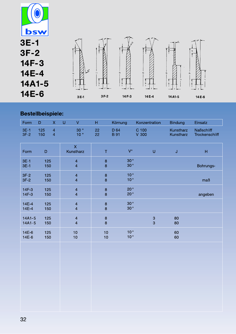

#### **Bestellbeispiele:**

| Form                     | D          | $\mathsf{X}$                     | U                                                  | V                                         | H           | Körnung                | Konzentration    |                                | <b>Bindung</b>         | Einsatz                                    |
|--------------------------|------------|----------------------------------|----------------------------------------------------|-------------------------------------------|-------------|------------------------|------------------|--------------------------------|------------------------|--------------------------------------------|
| $3E-1$<br>$3F-2$         | 125<br>150 | $\overline{4}$<br>$\overline{4}$ |                                                    | 30°<br>10 <sup>°</sup>                    | 22<br>22    | D 64<br><b>B</b> 91    | C 100<br>$V$ 300 |                                | Kunstharz<br>Kunstharz | <b>Naßschliff</b><br><b>Trockenschliff</b> |
| Form                     | D          |                                  |                                                    | $\boldsymbol{\mathsf{X}}$<br>Kunstharz    | T           | $V^{\circ}$            |                  | U                              | $\mathsf J$            | $\overline{\mathsf{H}}$                    |
| $3E-1$<br>$3E-1$         | 125<br>150 |                                  | $\overline{4}$<br>$\overline{\mathbf{4}}$          |                                           | $\bf8$<br>8 | 30°<br>30°             |                  |                                |                        | Bohrungs-                                  |
| $3F-2$<br>$3F-2$         | 125<br>150 |                                  | $\overline{\mathbf{4}}$<br>$\overline{\mathbf{4}}$ |                                           | $\bf8$<br>8 | 10 <sup>°</sup><br>10° |                  |                                |                        | maß                                        |
| $14F-3$<br>14F-3         |            | 125<br>150                       |                                                    | $\overline{\mathbf{4}}$<br>$\overline{4}$ |             | $20^{\circ}$<br>20°    |                  |                                |                        | angeben                                    |
| 14E-4<br>14E-4           |            | 125<br>150                       |                                                    | $\overline{4}$<br>$\overline{\mathbf{4}}$ |             | 30°<br>30°             |                  |                                |                        |                                            |
| $14A1 - 5$<br>$14A1 - 5$ | 125<br>150 |                                  | $\overline{4}$<br>$\overline{4}$                   |                                           | $\bf8$<br>8 |                        |                  | $\ensuremath{\mathsf{3}}$<br>3 | 80<br>80               |                                            |
| 14E-6<br>14E-6           | 125<br>150 |                                  |                                                    | 10<br>10                                  | 10<br>10    | 10°<br>$10^{\circ}$    |                  |                                | 60<br>60               |                                            |
|                          |            |                                  |                                                    |                                           |             |                        |                  |                                |                        |                                            |